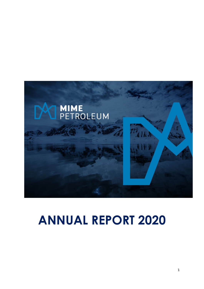

# **ANNUAL REPORT 2020**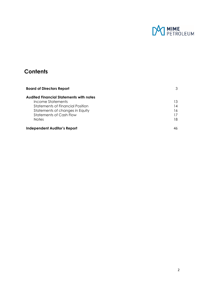

# **Contents**

| <b>Board of Directors Report</b>        |    |
|-----------------------------------------|----|
| Audited Financial Statements with notes |    |
| Income Statements                       | 13 |
| <b>Statements of Financial Position</b> | 14 |
| Statements of changes in Equity         | 16 |
| Statements of Cash Flow                 |    |
| <b>Notes</b>                            | 18 |
| <b>Independent Auditor's Report</b>     |    |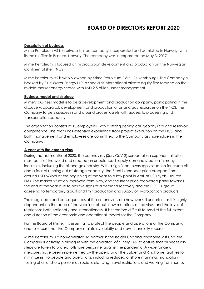# **BOARD OF DIRECTORS REPORT 2020**

#### **Description of business**

Mime Petroleum AS is a private limited company incorporated and domiciled in Norway, with its main office in Bærum, Norway. The company was incorporated on May 3, 2017.

Mime Petroleum is focused on hydrocarbon development and production on the Norwegian Continental shelf (NCS).

Mime Petroleum AS is wholly owned by Mime Petroleum S.à r.l. (Luxembourg). The Company is backed by Blue Water Energy LLP, a specialist international private equity firm focused on the middle-market energy sector, with USD 2.5 billion under management.

#### **Business model and strategy**

Mime's business model is to be a development and production company, participating in the discovery, appraisal, development and production of oil and gas resources on the NCS. The Company targets upsides in and around proven assets with access to processing and transportation capacity.

The organization consists of 15 employees, with a strong geological, geophysical and reservoir competence. The team has extensive experience from project execution on the NCS, and both management and employees are committed to the Company as shareholders in the Company.

#### **A year with the corona virus**

During the first months of 2020, the coronavirus (Sars-CoV-2) spread at an exponential rate in most parts of the world and created an unbalanced supply-demand situation in many industries, including the oil and gas industry. With a significant oversupply situation for crude oil and a fear of running out of storage capacity, the Brent blend spot price dropped from around USD 67/bbl at the beginning of the year to a low point in April at USD 9/bbl (source EIA). The market situation improved from May, and the Brent price recovered partly towards the end of the year due to positive signs of a demand recovery and the OPEC+ group agreeing to temporarily adjust and limit production and supply of hydrocarbon products.

The magnitude and consequences of the coronavirus are however still uncertain as it is highly dependent on the pace of the vaccine roll out, new mutations of the virus, and the level of restrictions both nationally and internationally. It is therefore difficult to predict the full extent and duration of the economic and operational impact for the Company.

For the Board of Mime, it is essential to protect the people and operations of the Company, and to secure that the Company maintains liquidity and stays financially secure.

Mime Petroleum is a non-operator. As partner in the Balder Unit and Ringhorne Øst Unit, the Company is actively in dialogue with the operator, Vår Energi AS, to ensure that all necessary steps are taken to protect offshore personnel against the pandemic. A wide range of measures have been implemented by the operator at the Balder and Ringhorne facilities to minimize risk to people and operations, including reduced offshore manning, mandatory testing of all offshore personnel, social distancing, travel restrictions and working from home.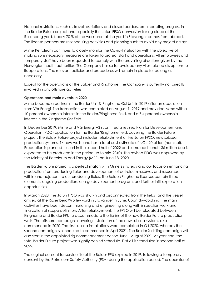National restrictions, such as travel restrictions and closed borders, are impacting progress in the Balder Future project and especially the Jotun FPSO conversion taking place at the Rosenberg yard. Nearly 70 % of the workforce at the yard in Stavanger comes from abroad. The license partners are rescheduling activities and planning such to avoid any project delays.

Mime Petroleum continues to closely monitor the Covid-19 situation with the objective of making sure necessary measures are taken to protect staff and operations. All employees and temporary staff have been requested to comply with the prevailing directions given by the Norwegian health authorities. The Company has so far avoided any virus-related disruptions to its operations. The relevant policies and procedures will remain in place for as long as necessary.

Except for the operations at the Balder and Ringhorne, the Company is currently not directly involved in any offshore activities.

#### **Operations and main events in 2020**

Mime became a partner in the Balder Unit & Ringhorne Øst Unit in 2019 after an acquisition from Vår Energi. The transaction was completed on August 1, 2019 and provided Mime with a 10 percent ownership interest in the Balder/Ringhorne field, and a 7.4 percent ownership interest in the Ringhorne Øst field.

In December 2019, Mime and Vår Energi AS submitted a revised Plan for Development and Operation (PDO) application for the Balder/Ringhorne field, covering the Balder Future project. The Balder Future project includes refurbishment of the Jotun FPSO, new subsea production systems, 14 new wells, and has a total cost estimate of NOK 20 billion (nominal). Production is planned to start in the second half of 2022 and some additional 136 million boe is expected to be produced in the period up to mid-2040s. The revised PDO was approved by the Ministry of Petroleum and Energy (MPE) on June 18, 2020.

The Balder Future project is a perfect match with Mime's strategy and our focus on enhancing production from producing fields and development of petroleum reserves and resources within and adjacent to our producing fields. The Balder/Ringhorne licenses contain three elements: ongoing production, a large development program, and further infill exploration opportunities.

In March 2020, the Jotun FPSO was shut-in and disconnected from the fields, and the vessel arrived at the Rosenberg/Worley yard in Stavanger in June. Upon dry-docking, the main activities have been decommissioning and engineering along with inspection work and finalization of scope definition. After refurbishment, the FPSO will be relocated between Ringhorne and Balder FPU to accommodate the tie-ins of the new Balder Future production wells. The offshore campaigns covering installation of the new subsea systems also commenced in 2020. The first subsea installations were completed in Q4 2020, whereas the second campaign is scheduled to commence in April 2021. The Balder X drilling campaign will also start in the appointed rig commencement period June - August 2021. At year end, the total Balder Future project was slightly behind schedule. First oil is scheduled in second half of 2022.

The original consent for service life of the Balder FPU expired in 2019, following a temporary consent by the Petroleum Safety Authority (PSA) during the application period. The operator of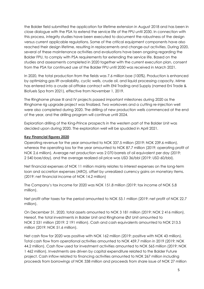the Balder field submitted the application for lifetime extension in August 2018 and has been in close dialogue with the PSA to extend the service life of the FPU until 2030. In connection with this process, integrity studies have been executed to document the robustness of the design versus current applicable regulations. Some of the critical equipment components have also reached their design lifetime, resulting in replacements and change-out activities. During 2020, several of these maintenance activities and evaluations have been ongoing regarding the Balder FPU, to comply with PSA requirements for extending the service life. Based on the studies and assessments completed in 2020 together with the current execution plan, consent from the PSA for continued use of the Balder FPU until 2030 was received in March 2021.

In 2020, the total production from the fields was 7.6 million boe (100%). Production is enhanced by optimizing gas lift availability, cyclic wells, crude oil, and liquid processing capacity. Mime has entered into a crude oil offtake contract with ENI Trading and Supply (named Eni Trade & Biofuels Spa from 2021), effective from November 1, 2019.

The Ringhorne phase III and IV projects passed important milestones during 2020 as the Ringhorne rig upgrade project was finalized. Two workovers and a cutting re-injection well were also completed during 2020. The drilling of new production wells commenced at the end of the year, and the drilling program will continue until 2024.

Exploration drilling of the King-Prince prospects in the western part of the Balder Unit was decided upon during 2020. The exploration well will be spudded in April 2021.

#### **Key Financial figures 2020**

Operating revenue for the year amounted to NOK 337.5 million (2019: NOK 239.6 million), whereas the operating loss for the year amounted to NOK 87.7 million (2019: operating profit of NOK 2.6 million). Average net production was 2 070 barrels of oil equivalent per day (2019: 2 540 boe/day), and the average realized oil price was USD 36/bbl (2019: USD 60/bbl).

Net financial expenses of NOK 11 million mainly relates to interest expenses on the long-term loan and accretion expenses (ARO), offset by unrealized currency gains on monetary items. (2019: net financial income of NOK 14.2 million)

The Company's tax income for 2020 was NOK 151.8 million (2019: tax income of NOK 5.8 million).

Net profit after taxes for the period amounted to NOK 53.1 million (2019: net profit of NOK 22.7 million).

On December 31, 2020, total assets amounted to NOK 3 181 million (2019: NOK 2 416 million). Hereof, the total investments in Balder Unit and Ringhorne Øst Unit amounted to NOK 2 531 million (2019: 2 191 million). Cash and cash equivalents amounted to NOK 213.5 million (2019: NOK 51.6 million).

Net cash flow for 2020 was positive with NOK 162 million (2019: positive with NOK 43 million). Total cash flow from operational activities amounted to NOK 459.7 million in 2019 (2019: NOK 44.2 million). Cash flow used for investment activities amounted to NOK 565 million (2019: NOK 1 462 million). Investments are driven by capital expenditure related to the Balder Future project. Cash inflow related to financing activities amounted to NOK 267 million including proceeds from borrowings of NOK 338 million and proceeds from share issue of NOK 27 million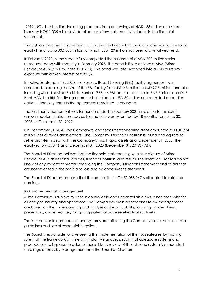(2019: NOK 1 461 million, including proceeds from borrowings of NOK 458 million and share issues by NOK 1 035 million). A detailed cash flow statement is included in the financial statements.

Through an investment agreement with Bluewater Energy LLP, the Company has access to an equity line of up to USD 300 million, of which USD 129 million has been drawn at year end.

In February 2020, Mime successfully completed the issuance of a NOK 300 million senior unsecured bond with maturity in February 2025. The bond is listed at Nordic ABM (Mime Petroleum AS 20/25 FRN (MIME01 PRO)). The bond was later swapped into a USD currency exposure with a fixed interest of 8.397%.

Effective September 16, 2020, the Reserve Based Lending (RBL) facility agreement was amended, increasing the size of the RBL facility from USD 65 million to USD 97.5 million, and also including Skandinaviska Enskilda Banken (SEB) as RBL bank in addition to BNP Paribas and DNB Bank ASA. The RBL facility agreement also includes a USD 30 million uncommitted accordion option. Other key terms in the agreement remained unchanged.

The RBL facility agreement was further amended in February 2021 in relation to the semiannual redetermination process as the maturity was extended by 18 months from June 30, 2026, to December 31, 2027.

On December 31, 2020, the Company's long term interest-bearing debt amounted to NOK 734 million (net of revaluation effects). The Company's financial position is sound and equate to settle short-term debt with the Company's most liquid assets as of December 31, 2020. The equity ratio was 37% as of December 31, 2020 (December 31, 2019: 47%).

The Board of Directors believe that the financial statements give a true picture of Mime Petroleum AS's assets and liabilities, financial position, and results. The Board of Directors do not know of any important matters regarding the Company's financial statement and affairs that are not reflected in the profit and loss and balance sheet statements.

The Board of Directors propose that the net profit of NOK 53 088 047 is allocated to retained earnings.

#### **Risk factors and risk management**

Mime Petroleum is subject to various controllable and uncontrollable risks, associated with the oil and gas industry and operations. The Company's main approaches to risk management are based on the understanding and analysis of the actual risks, focusing on identifying, preventing, and effectively mitigating potential adverse effects of such risks.

The internal control procedures and systems are reflecting the Company's core values, ethical guidelines and social responsibility policy.

The Board is responsible for overseeing the implementation of the risk strategies, by making sure that the framework is in line with industry standards, such that adequate systems and procedures are in place to address these risks. A review of the risks and system is conducted on a regular basis by Management and the Board of Directors.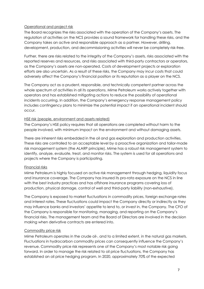#### Operational and project risk

The Board recognizes the risks associated with the operation of the Company's assets. The regulation of activities on the NCS provides a sound framework for handling these risks, and the Company takes an active and responsible approach as a partner. However, drilling, development, production, and decommissioning activities will never be completely risk-free.

Further, there are risks related to the integrity of the Company's assets, risks associated with the reported reserves and resources, and risks associated with third-party contractors or operators, as the Company's assets are non-operated. Costs of development projects or exploration efforts are also uncertain. As a result of these risks, the Company may incur costs that could adversely affect the Company's financial position or its reputation as a player on the NCS.

The Company act as a prudent, responsible, and technically competent partner across the whole spectrum of activities in all its operations. Mime Petroleum works actively together with operators and has established mitigating actions to reduce the possibility of operational incidents occurring. In addition, the Company's emergency response management policy includes contingency plans to minimize the potential impact if an operational incident should occur.

#### HSE risk (people, environment and assets related)

The Company's HSE policy requires that all operations are completed without harm to the people involved, with minimum impact on the environment and without damaging assets.

There are inherent risks embedded in the oil and gas exploration and production activities. These risks are controlled to an acceptable level by a proactive organization and tailor-made risk management system (the ALARP principle). Mime has a robust risk management system to identify, analyze, evaluate, treat, and monitor risks. The system is used for all operations and projects where the Company is participating.

#### Financial risks

Mime Petroleum is highly focused on active risk management through hedging, liquidity focus and insurance coverage. The Company has insured its pro-rata exposure on the NCS in line with the best industry practices and has offshore insurance programs covering loss of production, physical damage, control of well and third-party liability (non-exhaustive).

The Company is exposed to market fluctuations in commodity prices, foreign exchange rates and interest rates. These fluctuations could impact the Company directly or indirectly as they may influence banks and investors' appetite to lend to, or invest in, the Company. The CFO of the Company is responsible for monitoring, managing, and reporting on the Company's financial risks. The management team and the Board of Directors are involved in the decision making when derivative contracts are entered into.

#### Commodity price risk

Mime Petroleum operates in the crude oil-, and to a limited extent, in the natural gas markets. Fluctuations in hydrocarbon commodity prices can consequently influence the Company's revenue. Commodity price risk represents one of the Company's most notable risk going forward. In order to manage the risk related to oil price fluctuations, the Company has established an oil price hedging program. In 2020, approximately 70% of the expected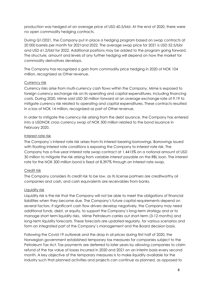production was hedged at an average price of USD 60.5/bbl. At the end of 2020, there were no open commodity hedging contracts.

During Q1/2021, the Company put in place a hedging program based on swap contracts at 20 000 barrels per month for 2021and 2022. The average swap price for 2021 is USD 52.5/bbl and USD 61.2/bbl for 2022. Additional positions may be added to the program going forward. The structure, amount and levels of any further hedging will depend on how the market for commodity derivatives develops.

The Company has recognized a gain from commodity price hedging in 2020 of NOK 104 million, recognized as Other revenue.

#### Currency risk

Currency risks arise from multi-currency cash flows within the Company. Mime is exposed to foreign currency exchange risk on its operating and capital expenditures, including financing costs. During 2020, Mime sold USD 50 million forward at an average exchange rate of 9.19 to mitigate currency risk related to operating and capital expenditures. These contracts resulted in a loss of NOK 14 million, recognized as part of Other revenue.

In order to mitigate the currency risk arising from the debt issuance, the Company has entered into a USDNOK cross currency swap of NOK 300 million related to the bond issuance in February 2020.

#### Interest rate risk

The Company`s interest rate risk arises from its interest-bearing borrowings. Borrowings issued with floating interest rate conditions is exposing the Company to interest rate risk. The Company has a five-year interest rate swap contract at 1.4415% on a notional amount of USD 30 million to mitigate the risk arising from variable interest payable on the RBL loan. The interest rate for the NOK 300 million bond is fixed at 8.397% through an interest rate swap.

### Credit risk

The Company considers its credit risk to be low, as its license partners are creditworthy oil companies and cash, and cash equivalents are receivables from banks.

#### Liquidity risk

Liquidity risk is the risk that the Company will not be able to meet the obligations of financial liabilities when they become due. The Company's future capital requirements depend on several factors. If significant cash flow drivers develop negatively, the Company may need additional funds, debt, or equity, to support the Company's long-term strategy and or to manage short term liquidity risks. Mime Petroleum carries out short-term (3-12 months) and long-term liquidity forecasts. These forecasts are updated regularly, for various scenarios and form an integrated part of the Company`s management and the Board decision basis.

Following the Covid-19 outbreak and the drop in oil prices during first half of 2020, the Norwegian government established temporary tax measures for companies subject to the Petroleum Tax Act. Tax payments are deferred to later years by allowing companies to claim refund of the tax value of losses incurred in 2020 and 2021 on an interim basis every second month. A key objective of the temporary measures is to make liquidity available for the industry such that planned activities and projects can continue as planned, as opposed to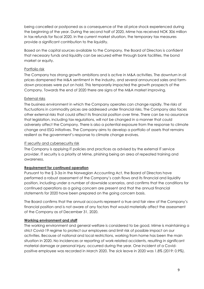being cancelled or postponed as a consequence of the oil price shock experienced during the beginning of the year. During the second half of 2020, Mime has received NOK 306 million in tax refunds for fiscal 2020. In the current market situation, the temporary tax measures provide a significant contribution to the liquidity.

Based on the capital sources available to the Company, the Board of Directors is confident that necessary funds and liquidity can be secured either through bank facilities, the bond market or equity.

#### Portfolio risk

The Company has strong growth ambitions and is active in M&A activities. The downturn in oil prices dampened the M&A sentiment in the industry, and several announced sales and farmdown processes were put on hold. This temporarily impacted the growth prospects of the Company. Towards the end of 2020 there are signs of the M&A market improving.

#### External risks

The business environment in which the Company operates can change rapidly. The risks of fluctuations in commodity prices are addressed under financial risks. The Company also faces other external risks that could affect its financial position over time. There can be no assurance that legislation, including tax regulations, will not be changed in a manner that could adversely affect the Company. There is also a potential exposure from the response to climate change and ESG initiatives. The Company aims to develop a portfolio of assets that remains resilient as the government's response to climate change evolves.

#### IT security and cybersecurity risk

The Company is applying IT policies and practices as advised by the external IT service provider. IT security is a priority at Mime, phishing being an area of repeated training and awareness.

#### **Requirement for continued operation**

Pursuant to the § 3-3a in the Norwegian Accounting Act, the Board of Directors have performed a robust assessment of the Company's cash flows and its financial and liquidity position, including under a number of downside scenarios, and confirms that the conditions for continued operations as a going concern are present and that the annual financial statements for 2020 have been prepared on the going concern basis.

The Board confirms that the annual accounts represent a true and fair view of the Company's financial position and is not aware of any factors that would materially affect the assessment of the Company as of December 31, 2020.

#### **Working environment and staff**

The working environment and general welfare is considered to be good. Mime is maintaining a strict Covid-19 regime to protect our employees and limit risk of possible impact on our activities. Because of national and local restrictions, working from home has been the main situation in 2020. No incidences or reporting of work-related accidents, resulting in significant material damage or personal injury, occurred during the year. One incident of a Covidpositive employee was recorded in March 2020. The sick leave in 2020 was 1.8% (2019: 0.9%).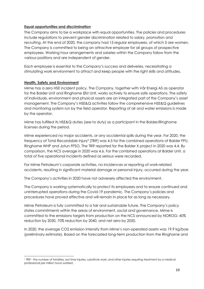#### **Equal opportunities and discrimination**

The Company aims to be a workplace with equal opportunities. The policies and procedures include regulations to prevent gender discrimination related to salary, promotion and recruiting. At the end of 2020, the company had 15 regular employees, of which 5 are women. The Company is committed to being an attractive employer for all groups of prospective employees. Working hour arrangements and salaries within the Company follow from the various positions and are independent of gender.

Each employee is essential to the Company's success and deliveries, necessitating a stimulating work environment to attract and keep people with the right skills and attitudes.

#### **Health, Safety and Environment**

Mime has a zero HSE incident policy. The Company, together with Vår Energi AS as operator for the Balder Unit and Ringhorne Øst Unit, works actively to ensure safe operations. The safety of individuals, environment and physical assets are an integrated part of the Company's asset management. The Company's HSE&Q activities follow the comprehensive HSE&Q guidelines and monitoring system run by the field operator. Reporting of air and water emissions is made by the operator.

Mime has fulfilled its HSE&Q duties (see-to duty) as a participant in the Balder/Ringhorne licenses during the period.

Mime experienced no major accidents, or any accidental spills during the year. For 2020, the frequency of Total Recordable Injury<sup>1</sup> (TRIF) was 4.5 for the combined operations of Balder FPU, Ringhorne WHP and Jotun FPSO. The TRIF reported for the Balder X project in 2020 was 4.4. By comparison, the NCS average in 2020 was 4.6. For the combined operations at Balder Unit, a total of five operational incidents defined as serious were recorded.

For Mime Petroleum's corporate activities, no incidences or reporting of work-related accidents, resulting in significant material damage or personal injury, occurred during the year.

The Company's activities in 2020 have not adversely affected the environment.

The Company is working systematically to protect its employees and to ensure continued and uninterrupted operations during the Covid-19 pandemic. The Company's policies and procedures have proved effective and will remain in place for as long as necessary.

Mime Petroleum is fully committed to a fair and sustainable future. The Company's policy states commitments within the areas of environment, social and governance. Mime is committed to the emissions targets from production on the NCS announced by NOROG: 40% reduction by 2030, 70% reduction by 2040, and net zero by 2050.

In 2020, the average CO2 emission intensity from Mime's non-operated assets was 19.9 kg/boe (preliminary estimate). Based on the forecasted long-term production from the Ringhorne and

<sup>1</sup> TRIF - the number of fatalities, lost time injuries, substitute work, and other injuries requiring treatment by a medical professional per million hours worked.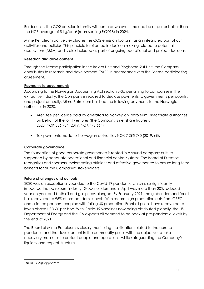Balder units, the CO2 emission intensity will come down over time and be at par or better than the NCS average of 8 kg/boe<sup>2</sup> (representing FY2018) in 2024.

Mime Petroleum actively evaluates the CO2 emission footprint as an integrated part of our activities and policies. This principle is reflected in decision making related to potential acquisitions (M&A) and is also included as part of ongoing operational and project decisions.

#### **Research and development**

Through the license participation in the Balder Unit and Ringhorne Øst Unit, the Company contributes to research and development (R&D) in accordance with the license participating agreement.

#### **Payments to governments**

According to the Norwegian Accounting Act section 3-3d pertaining to companies in the extractive industry, the Company is required to disclose payments to governments per country and project annually. Mime Petroleum has had the following payments to the Norwegian authorities in 2020:

- Area fee per license paid by operators to Norwegian Petroleum Directorate authorities on behalf of the joint ventures (the Company's net share figures): 2020: NOK 586 734 (2019: NOK 498 664)
- Tax payments made to Norwegian authorities NOK 7 295 740 (2019: nil).

#### **Corporate governance**

The foundation of good corporate governance is rooted in a sound company culture supported by adequate operational and financial control systems. The Board of Directors recognizes and sponsors implementing efficient and effective governance to ensure long-term benefits for all the Company's stakeholders.

#### **Future challenges and outlook**

2020 was an exceptional year due to the Covid-19 pandemic which also significantly impacted the petroleum industry. Global oil demand in April was more than 20% reduced year-on-year and both oil and gas prices plunged. By February 2021, the global demand for oil has recovered to 95% of pre-pandemic levels. With record high production cuts from OPEC and alliance partners, coupled with falling US production, Brent oil prices have recovered to levels above USD 60 per boe. With Covid-19 vaccines now being distributed globally, the US Department of Energy and the IEA expects oil demand to be back at pre-pandemic levels by the end of 2021.

The Board of Mime Petroleum is closely monitoring the situation related to the corona pandemic and the development in the commodity prices with the objective to take necessary measures to protect people and operations, while safeguarding the Company's liquidity and capital structures.

<sup>2</sup> NOROG Miljørapport 2020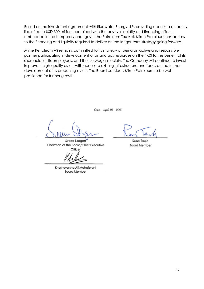Based on the investment agreement with Bluewater Energy LLP, providing access to an equity line of up to USD 300 million, combined with the positive liquidity and financing effects embedded in the temporary changes in the Petroleum Tax Act, Mime Petroleum has access to the financing and liquidity required to deliver on the longer-term strategy going forward.

Mime Petroleum AS remains committed to its strategy of being an active and responsible partner participating in development of oil and gas resources on the NCS to the benefit of its shareholders, its employees, and the Norwegian society. The Company will continue to invest in proven, high-quality assets with access to existing infrastructure and focus on the further development of its producing assets. The Board considers Mime Petroleum to be well positioned for further growth.

Öslo, April 21, 2021

Sverre Skogen Chairman of the Board/Chief Executive Officer

Khashayarsha Ali Mohajerani **Board Member** 

Rune Taule **Board Member**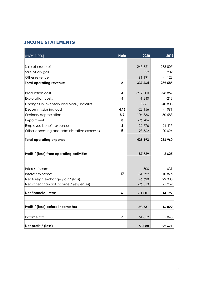# **INCOME STATEMENTS**

| (NOK 1 000)                                 | <b>Note</b>  | 2020       | 2019     |
|---------------------------------------------|--------------|------------|----------|
|                                             |              |            |          |
| Sale of crude oil                           |              | 245 721    | 238 807  |
| Sale of dry gas                             |              | 552        | 1 902    |
| Other revenue                               |              | 91 191     | $-1123$  |
| <b>Total operating revenue</b>              | $\mathbf{2}$ | 337 464    | 239 585  |
|                                             |              |            |          |
| Production cost                             | 4            | $-212500$  | -98 859  |
| <b>Exploration costs</b>                    | 4            | $-1240$    | $-213$   |
| Changes in inventory and over-/underlift    |              | 5861       | $-40805$ |
| Decommissioning cost                        | 4,15         | $-23156$   | $-1991$  |
| Ordinary depreciation                       | 8,9          | $-106336$  | $-50583$ |
| Impairment                                  | 8            | $-26286$   |          |
| Employee benefit expenses                   | 3            | $-32976$   | $-24415$ |
| Other operating and administrative expenses | 5            | $-28562$   | $-20094$ |
|                                             |              |            |          |
| <b>Total operating expense</b>              |              | $-425$ 193 | -236 960 |
|                                             |              |            |          |
| Profit / (loss) from operating activities   |              | $-87729$   | 2 6 2 5  |
|                                             |              |            |          |
|                                             |              |            |          |
| Interest income                             |              | 506        | 1031     |
| Interest expenses                           | 17           | $-31692$   | $-10876$ |
| Net foreign exchange gain/ (loss)           |              | 46 698     | 29 303   |
| Net other financial income / (expenses)     |              | $-26513$   | $-5262$  |
| <b>Net financial items</b>                  | 6            | $-11001$   | 14 197   |
|                                             |              |            |          |
|                                             |              |            |          |
| Profit / (loss) before income tax           |              | -98 731    | 16 822   |
|                                             |              |            |          |
| Income tax                                  | 7            | 151819     | 5848     |
| Net profit / (loss)                         |              | 53 088     | 22 671   |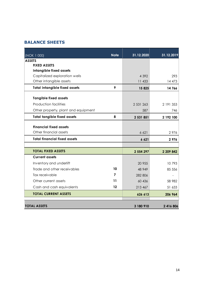# **BALANCE SHEETS**

| (NOK 1 000)                          | <b>Note</b> | 31.12.2020 | 31.12.2019 |
|--------------------------------------|-------------|------------|------------|
| <b>ASSETS</b><br><b>FIXED ASSETS</b> |             |            |            |
| Intangible fixed assets              |             |            |            |
| Capitalized exploration wells        |             | 4 3 9 2    | 293        |
| Other intangible assets              |             | 11 433     | 14 473     |
| <b>Total intangible fixed assets</b> | 9           | 15 825     | 14766      |
| <b>Tangible fixed assets</b>         |             |            |            |
| <b>Production facilities</b>         |             | 2 531 263  | 2 191 353  |
| Other property, plant and equipment  |             | 587        | 746        |
| <b>Total tangible fixed assets</b>   | 8           | 2 531 851  | 2 192 100  |
| <b>Financial fixed assets</b>        |             |            |            |
| Other financial assets               |             | 6 6 2 1    | 2976       |
|                                      |             |            |            |
| <b>Total financial fixed assets</b>  |             | 6 6 21     | 2976       |
| <b>TOTAL FIXED ASSETS</b>            |             | 2 554 297  | 2 209 842  |
| <b>Current assets</b>                |             |            |            |
| Inventory and underlift              |             | 20 955     | 10793      |
| Trade and other receivables          | 10          | 48 949     | 85 556     |
| Tax receivable                       | 7           | 282 806    |            |
| Other current assets                 | 11          | 60 436     | 58 982     |
| Cash and cash equivalents            | 12          | 213 467    | 51 633     |
| <b>TOTAL CURRENT ASSETS</b>          |             | 626 613    | 206 964    |
|                                      |             |            |            |
| <b>TOTAL ASSETS</b>                  |             | 3 180 910  | 2 416 806  |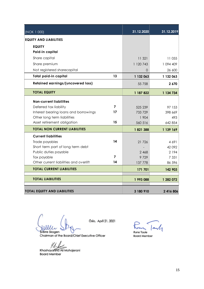| (NOK 1 000)                            |    | 31.12.2020 | 31.12.2019 |
|----------------------------------------|----|------------|------------|
| <b>EQUITY AND LIABILITIES</b>          |    |            |            |
| <b>EQUITY</b>                          |    |            |            |
| Paid-in capital                        |    |            |            |
| Share capital                          |    | 11 321     | 11 055     |
| Share premium                          |    | 1 120 743  | 1 094 409  |
| Not registered sharecapital            |    | 0          | 26 600     |
| Total paid-in capital                  | 13 | 1 132 063  | 1 132 063  |
| Retained earnings/(uncovered loss)     |    | 55 758     | 2 670      |
| <b>TOTAL EQUITY</b>                    |    | 1 187 822  | 1 134 734  |
| <b>Non-current liabilities</b>         |    |            |            |
| Deferred tax liability                 | 7  | 525 239    | 97 153     |
| Interest bearing loans and borrowings  | 17 | 733 729    | 398 669    |
| Other long term liabilities            |    | 1 904      | 493        |
| Asset retirement obligation            | 15 | 560 516    | 642 854    |
| <b>TOTAL NON CURRENT LIABILITIES</b>   |    | 1821388    | 1 139 169  |
| <b>Current liabilities</b>             |    |            |            |
| Trade payables                         | 14 | 21 7 26    | 4 6 9 1    |
| Short term part of long term debt      |    |            | 42 092     |
| Public duties payable                  |    | 2 4 6 8    | 2 1 9 4    |
| Tax payable                            | 7  | 9729       | 7 3 3 1    |
| Other current liabilities and overlift | 14 | 137 778    | 86 596     |
| <b>TOTAL CURRENT LIABILITIES</b>       |    | 171 701    | 142 903    |
| <b>TOTAL LIABILITIES</b>               |    | 1 993 088  | 1 282 072  |
| <b>TOTAL EQUITY AND LIABILITIES</b>    |    | 3 180 910  | 2 416 806  |

Oller  $\ddot{\phantom{a}}$ 

Oslo, April 21, 2021

Run Tank Rune Taule **Board Member** 

Sverre Skogen<br>Chairman of the Board/Chief Executive Officer

Khashayarsha Ali Mohajerani<br>Board Member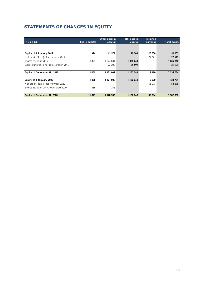# **STATEMENTS OF CHANGES IN EQUITY**

| (NOK 1 000)                             | <b>Share capital</b> | Other paid-in<br>capital | Total paid-in<br>capital | <b>Retained</b><br>earnings | <b>Total equity</b> |
|-----------------------------------------|----------------------|--------------------------|--------------------------|-----------------------------|---------------------|
|                                         |                      |                          |                          |                             |                     |
| Equity at 1 January 2019                | 626                  | 69 577                   | 70 203                   | $-20000$                    | 50 203              |
| Net profit / loss (-) for the year 2019 |                      |                          | $\blacksquare$           | 22 671                      | 22 671              |
| Shares issued in 2019                   | 10 429               | 1 024 831                | 1 035 260                |                             | 1 035 260           |
| Capital increase not registered in 2019 |                      | 26 600                   | 26 600                   |                             | 26 600              |
|                                         |                      |                          |                          |                             |                     |
| Equity at December 31, 2019             | 11 055               | 1 121 009                | 1 132 063                | 2670                        | 1 134 734           |
|                                         |                      |                          |                          |                             |                     |
| Equity at 1 January 2020                | 11 055               | 1 121 009                | 1 132 063                | 2670                        | 1 134 734           |
| Net profit / loss (-) for the year 2020 |                      |                          |                          | 53 096                      | 53 096              |
| Shares issued in 2019, registered 2020  | 266                  | $-266$                   |                          |                             |                     |
|                                         |                      |                          |                          |                             |                     |
| Equity at December 31, 2020             | 11 321               | 1 120 743                | 1 132 063                | 55 766                      | 1 187 830           |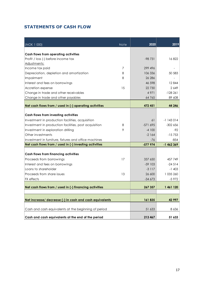# **STATEMENTS OF CASH FLOW**

| (NOK 1 000)                                             | <b>Note</b> | 2020      | 2019       |
|---------------------------------------------------------|-------------|-----------|------------|
|                                                         |             |           |            |
| Cash flows from operating activities                    |             |           |            |
| Profit / loss (-) before income tax                     |             | $-98731$  | 16822      |
| Adjustments:                                            |             |           |            |
| Income tax paid                                         | 7           | 299 496   |            |
| Depreciation, depletion and amortization                | 8           | 106 336   | 50 583     |
| Impairment                                              | 8           | 26 28 6   |            |
| Interest and fees on borrowings                         |             | 46 598    | 12844      |
| Accretion expense                                       | 15          | 22 730    | 2 649      |
| Change in trade and other receivables                   |             | 4 9 7 1   | $-128261$  |
| Change in trade and other payables                      |             | 64 7 65   | 89 608     |
| Net cash flows from / used in (-) operating activities  |             | 472 451   | 44 246     |
|                                                         |             |           |            |
| Cash flows from investing activities                    |             |           |            |
| Investment in production facilities, acquisition        |             | 61        | $-1143014$ |
| Investment in production facilities, post acquisition   | 8           | -571 695  | $-302656$  |
| Investment in exploration drilling                      | 9           | $-4100$   | -92        |
| Other investments                                       |             | $-2164$   | $-15753$   |
| Investment in furniture, fixtures and office machines   |             | -76       | $-854$     |
| Net cash flows from / used in (-) investing activities  |             | $-577974$ | $-1462369$ |
|                                                         |             |           |            |
| <b>Cash flows from financing activities</b>             |             |           |            |
| Proceeds from borrowings                                | 17          | 337 650   | 457 749    |
| Interest and fees on borrowings                         |             | $-59$ 103 | $-24514$   |
| Loans to shareholder                                    |             | $-3117$   | $-1,403$   |
| Proceeds from share issues                              | 13          | 26 600    | 1 035 260  |
| <b>FX</b> effects                                       |             | $-34673$  | $-5972$    |
| Net cash flows from / used in (-) financing activities  |             | 267 357   | 1 461 120  |
|                                                         |             |           |            |
|                                                         |             |           |            |
| Net increase/ decrease (-) in cash and cash equivalents |             | 161835    | 42 997     |
| Cash and cash equivalents at the beginning of period    |             | 51 633    | 8 6 3 6    |
| Cash and cash equivalents at the end of the period      |             | 213 467   | 51 633     |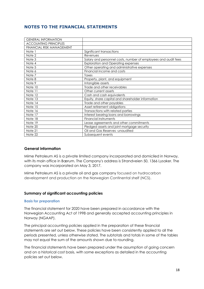# **NOTES TO THE FINANCIAL STATEMENTS**

| <b>GENERAL INFORMATION</b>   |                                                                |
|------------------------------|----------------------------------------------------------------|
| <b>ACCOUNTING PRINCIPLES</b> |                                                                |
| FINANCIAL RISK MANAGEMENT    |                                                                |
| Note 1                       | Significant transactions                                       |
| Note 2                       | Revenues                                                       |
| Note 3                       | Salary and personnel costs, number of employees and audit fees |
| Note 4                       | <b>Exploration and Operating expenses</b>                      |
| Note 5                       | Other operating and administrative expenses                    |
| Note 6                       | Financial income and costs                                     |
| Note 7                       | Taxes                                                          |
| Note 8                       | Property, plant, and equipment                                 |
| Note 9                       | Intangible assets                                              |
| Note 10                      | Trade and other receivables                                    |
| Note 11                      | Other current assets                                           |
| Note 12                      | Cash and cash equivalents                                      |
| Note 13                      | Equity, share capital and shareholder information              |
| Note 14                      | Trade and other payables                                       |
| Note 15                      | Asset retirement obligations                                   |
| Note 16                      | Transactions with related parties                              |
| Note 17                      | Interest bearing loans and borrowings                          |
| Note 18                      | Financial instruments                                          |
| Note 19                      | Lease agreements and other commitments                         |
| Note 20                      | Pledged assets and joint mortgage security                     |
| Note 21                      | Oil and Gas Reserves - unaudited                               |
| Note 22                      | Subsequent events                                              |

#### **General information**

Mime Petroleum AS is a private limited company incorporated and domiciled in Norway, with its main office in Bærum. The Company's address is Strandveien 50, 1366 Lysaker. The company was incorporated on May 3, 2017.

Mime Petroleum AS is a private oil and gas company focused on hydrocarbon development and production on the Norwegian Continental shelf (NCS).

#### **Summary of significant accounting policies**

#### **Basis for preparation**

The financial statement for 2020 have been prepared in accordance with the Norwegian Accounting Act of 1998 and generally accepted accounting principles in Norway (NGAAP).

The principal accounting policies applied in the preparation of these financial statements are set out below. These policies have been consistently applied to all the periods presented, unless otherwise stated. The subtotals and totals in some of the tables may not equal the sum of the amounts shown due to rounding.

The financial statements have been prepared under the assumption of going concern and on a historical cost basis, with some exceptions as detailed in the accounting policies set out below.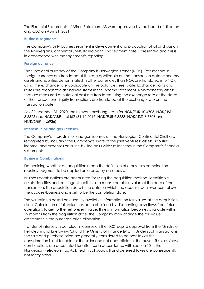The Financial Statements of Mime Petroleum AS were approved by the board of directors and CEO on April 21, 2021.

#### **Business segments**

The Company's only business segment is development and production of oil and gas on the Norwegian Continental Shelf. Based on this no segment note is presented and this is in accordance with management's reporting.

#### **Foreign currency**

The functional currency of the Company is Norwegian Kroner (NOK). Transactions in foreign currency are translated at the rate applicable on the transaction date. Monetary assets and liabilities denominated in other currencies than NOK are translated into NOK using the exchange rate applicable on the balance sheet date. Exchange gains and losses are recognized as financial items in the income statement. Non-monetary assets that are measured at historical cost are translated using the exchange rate at the dates of the transactions. Equity transactions are translated at the exchange rate on the transaction date.

As of December 31, 2020, the relevant exchange rate for NOK/EUR 10.4703, NOK/USD 8.5326 and NOK/GBP 11.6462 (31.12.2019: NOK/EUR 9.8638, NOK/USD 8.7803 and NOK/GBP 11.5936).

#### **Interests in oil and gas licenses**

The Company's interests in oil and gas licenses on the Norwegian Continental Shelf are recognized by including the Company's share of the joint ventures' assets, liabilities, income, and expenses on a line-by-line basis with similar items in the Company's financial statements.

#### **Business Combinations**

Determining whether an acquisition meets the definition of a business combination requires judgment to be applied on a case-by-case basis.

Business combinations are accounted for using the acquisition method. Identifiable assets, liabilities and contingent liabilities are measured at fair value at the date of the transaction. The acquisition date is the date on which the acquirer achieves control over the acquire/business and is set to be the completion date.

The valuation is based on currently available information on fair values at the acquisition date. Calculation of fair value has been obtained by discounting cash flows from future operations to get to the net present value. If new information becomes available within 12 months from the acquisition date, the Company may change the fair value assessment in the purchase price allocation.

Transfer of interests in petroleum licenses on the NCS require approval from the Ministry of Petroleum and Energy (MPE) and the Ministry of Finance (MOF). Under such transactions the sale and purchase price are generally considered to be post tax as the consideration is not taxable for the seller and not deductible for the buyer. Thus, business combinations are accounted for after tax in accordance with section 10 in the Norwegian Petroleum Tax Act. Technical goodwill and deferred taxes are consequently not recognized.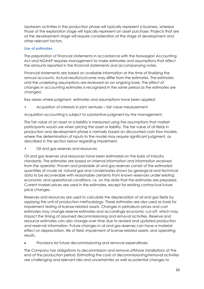Upstream activities in the production phase will typically represent a business, whereas those at the exploration stage will typically represent an asset purchase. Projects that are at the development stage will require consideration of the stage of development and other relevant factors.

#### **Use of estimates**

The preparation of financial statements in accordance with the Norwegian Accounting Act and NGAAP requires management to make estimates and assumptions that affect the amounts reported in the financial statements and accompanying notes.

Financial statements are based on available information at the time of finalizing the annual accounts. Actual results/outcome may differ from the estimates. The estimates and the underlying assumptions are reviewed on an ongoing basis. The effect of changes in accounting estimates is recognized in the same period as the estimates are changed.

Key areas where judgment, estimates and assumptions have been applied:

• Acquisition of interests in joint ventures – fair value measurement

Acquisition accounting is subject to substantive judgment by the management.

The fair value of an asset or a liability is measured using the assumptions that market participants would use when pricing the asset or liability. The fair value of oil fields in production and development phase is normally based on discounted cash flow models, where the determination of inputs to the model may require significant judgment, as described in the section below regarding impairment.

• Oil and gas reserves and resources

Oil and gas reserves and resources have been estimated on the basis of industry standards. The estimates are based on internal information and information received from the operator. Proven and probable oil and gas reserves consist of the estimated quantities of crude oil, natural gas and condensates shown by geological and technical data to be recoverable with reasonable certainty from known reservoirs under existing economic and operational conditions, i.e. on the date that the estimates are prepared. Current market prices are used in the estimates, except for existing contractual future price changes.

Reserves and resources are used to calculate the depreciation of oil and gas fields by applying the unit-of production methodology. These estimates are also used as basis for impairment testing of license-related assets. Changes in petroleum prices and cost estimates may change reserve estimates and accordingly economic cut-off, which may impact the timing of assumed decommissioning and removal activities. Reserve and resource estimates can also change over time due to revised and updated production and reservoir information. Future changes in oil and gas reserves can have a material effect on depreciation, life of field, impairment of license-related assets, and operating results.

Provisions for future decommissioning and removal expenditures

The Company has obligations to decommission and remove offshore installations at the end of the production period. Estimating the costs of decommissioning/removal activities are challenging and relevant risks and uncertainties as well as potential changes to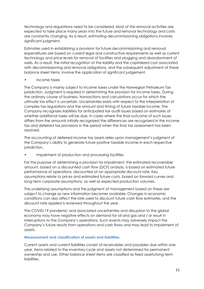technology and regulations need to be considered. Most of the removal activities are expected to take place many years into the future and removal technology and costs are constantly changing. As a result, estimating decommissioning obligations involves significant judgment.

Estimates used in establishing a provision for future decommissioning and removal expenditures are based on current legal and constructive requirements as well as current technology and price levels for removal of facilities and plugging and abandonment of wells. As a result, the initial recognition of the liability and the capitalized cost associated with decommissioning and removal obligations, and the subsequent adjustment of these balance sheet items, involve the application of significant judgement.

• Income taxes

The Company is mainly subject to income taxes under the Norwegian Petroleum Tax jurisdiction. Judgment is required in determining the provision for income taxes. During the ordinary course of business, transactions and calculations occur for which the ultimate tax effect is uncertain. Uncertainties exists with respect to the interpretation of complex tax regulations and the amount and timing of future taxable income. The Company recognizes liabilities for anticipated tax audit issues based on estimates of whether additional taxes will be due. In cases where the final outcome of such issues differs from the amounts initially recognized the differences are recognized in the income tax and deferred tax provisions in the period when the final tax assessment has been resolved.

The accounting of deferred income tax assets relies upon management's judgment of the Company's ability to generate future positive taxable income in each respective jurisdiction.

Impairment of production and processing facilities

For the purpose of determining a provision for impairment, the estimated recoverable amount, based on a discounted cash flow (DCF) analysis, is based on estimated future performance of operations, discounted at an appropriate discount rate. Key assumptions relate to prices and estimated future costs, based on forward curves and long-term corporate assumptions, as well as expected production volumes.

The underlying assumptions and the judgment of management based on these are subject to change as new information becomes available. Changes in economic conditions can also affect the rate used to discount future cash flow estimates, and the discount rate applied is reviewed throughout the year.

The COVID-19 pandemic and associated uncertainties and disruption to the global economy may have negative effects on demand for oil and gas and / or result in interruptions to the Company's operations. Such events may adversely impact the Company's future results from operations and cash flows and may lead to impairment of assets.

#### **Measurement and classification of assets and liabilities**

Current assets and current liabilities consist of receivables and payables due within one year, items related to the inventory cycle and assets not determined for permanent ownership and use. Other balance sheet items are classified as fixed assets/long-term liabilities.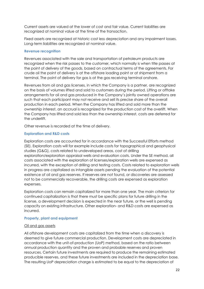Current assets are valued at the lower of cost and fair value. Current liabilities are recognized at nominal value at the time of the transaction.

Fixed assets are recognized at historic cost less depreciation and any impairment losses. Long-term liabilities are recognized at nominal value.

#### **Revenue recognition**

Revenues associated with the sale and transportation of petroleum products are recognized when the risk passes to the customer, which normally is when title passes at the point of delivery of the goods, based on contractual terms of the agreements. For crude oil the point of delivery is at the offshore loading point or at shipment from a terminal. The point of delivery for gas is at the gas receiving terminal onshore.

Revenues from oil and gas licenses, in which the Company is a partner, are recognized on the basis of volumes lifted and sold to customers during the period. Lifting or offtake arrangements for oil and gas produced in the Company's jointly owned operations are such that each participant may not receive and sell its precise share of the overall production in each period. When the Company has lifted and sold more than the ownership interest, an accrual is recognized for the production cost of the overlift. When the Company has lifted and sold less than the ownership interest, costs are deferred for the underlift.

Other revenue is recorded at the time of delivery.

#### **Exploration and R&D costs**

Exploration costs are accounted for in accordance with the Successful Efforts method (SE). Exploration costs will for example include costs for topographical and geophysical studies (G&G), costs related to undeveloped areas, cost of drilling exploration/exploration appraisal wells and evaluation costs. Under the SE method, all costs associated with the exploration of licenses/exploration wells are expensed as incurred, with the exception of drilling and testing costs. Costs related to exploration wells in progress are capitalized as intangible assets pending the evaluation of the potential existence of oil and gas reserves. If reserves are not found, or discoveries are assessed not to be commercially recoverable, the drilling costs are expensed as exploration expenses.

Exploration costs can remain capitalized for more than one year. The main criterion for continued capitalization is that there must be specific plans for future drilling in the license, a development decision is expected in the near future, or the well is pending capacity on existing infrastructure. Other exploration- and R&D costs are expensed as incurred.

#### **Property, plant and equipment**

#### Oil and gas assets

All offshore development costs are capitalized from the time when a discovery is deemed to give future commercial production. Development costs are depreciated in accordance with the unit-of-production (UoP) method, based on the ratio between annual production quantity and the proven and probable reserves and proven resources. Certain future investments are required to produce the remaining estimated producible reserves, and these future investments are included in the depreciation base. The resulting UoP depreciation charge is estimated to be equal to the depreciation of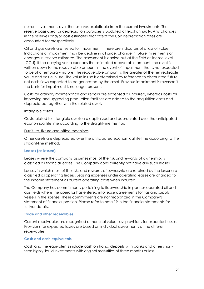current investments over the reserves exploitable from the current investments. The reserve basis used for depreciation purposes is updated at least annually. Any changes in the reserves and/or cost estimates that affect the UoP depreciation rates are accounted for prospectively.

Oil and gas assets are tested for impairment if there are indicators of a loss of value. Indications of impairment may be decline in oil price, change in future investments or changes in reserve estimates. The assessment is carried out at the field or license level (CGU). If the carrying value exceeds the estimated recoverable amount, the asset is written down to the recoverable amount in the event of impairment that is not expected to be of a temporary nature. The recoverable amount is the greater of the net realizable value and value in use. The value in use is determined by reference to discounted future net cash flows expected to be generated by the asset. Previous impairment is reversed if the basis for impairment is no longer present.

Costs for ordinary maintenance and repairs are expensed as incurred, whereas costs for improving and upgrading production facilities are added to the acquisition costs and depreciated together with the related asset.

#### Intangible assets

Costs related to intangible assets are capitalized and depreciated over the anticipated economical lifetime according to the straight-line method.

#### Furniture, fixture and office machines

Other assets are depreciated over the anticipated economical lifetime according to the straight-line method.

#### **Leases (as lessee)**

Leases where the company assumes most of the risk and rewards of ownership, is classified as financial leases. The Company does currently not have any such leases.

Leases in which most of the risks and rewards of ownership are retained by the lessor are classified as operating leases. Leasing expenses under operating leases are charged to the income statement as current operating costs when incurred.

The Company has commitments pertaining to its ownership in partner-operated oil and gas fields where the operator has entered into lease agreements for rigs and supply vessels in the license. These commitments are not recognized in the Company's statement of financial position. Please refer to note 19 in the financial statements for further details.

#### **Trade and other receivables**

Current receivables are recognized at nominal value, less provisions for expected losses. Provisions for expected losses are based on individual assessments of the different receivables.

#### **Cash and cash equivalents**

Cash and the equivalents include cash on hand, deposits with banks and other shortterm highly liquid investments with original maturities of three months or less.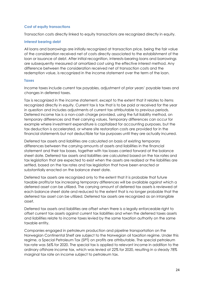#### **Cost of equity transactions**

Transaction costs directly linked to equity transactions are recognized directly in equity.

#### **Interest bearing debt**

All loans and borrowings are initially recognized at transaction price, being the fair value of the consideration received net of costs directly associated to the establishment of the loan or issuance of debt. After initial recognition, interests-bearing loans and borrowings are subsequently measured at amortized cost using the effective interest method. Any difference between the consideration received net of transaction costs and the redemption value, is recognized in the income statement over the term of the loan.

#### **Taxes**

Income taxes include current tax payables, adjustment of prior years' payable taxes and changes in deferred taxes.

Tax is recognized in the income statement, except to the extent that it relates to items recognized directly in equity. Current tax is tax that is to be paid or received for the year in question and includes adjustments of current tax attributable to previous periods. Deferred income tax is a non-cash charge provided, using the full liability method, on temporary differences and their carrying values. Temporary differences can occur for example where investment expenditure is capitalized for accounting purposes, but the tax deduction is accelerated, or where site restoration costs are provided for in the financial statements but not deductible for tax purposes until they are actually incurred.

Deferred tax assets and liabilities are calculated on basis of existing temporary differences between the carrying amounts of assets and liabilities in the financial statement and their tax bases, together with tax losses carried forward at the balance sheet date. Deferred tax assets and liabilities are calculated based on the tax rates and tax legislation that are expected to exist when the assets are realized or the liabilities are settled, based on the tax rates and tax legislation that have been enacted or substantially enacted on the balance sheet date.

Deferred tax assets are recognized only to the extent that it is probable that future taxable profits/or tax increasing temporary differences will be available against which a deferred asset can be utilized. The carrying amount of deferred tax assets is reviewed at each balance sheet date and reduced to the extent that is no longer probable that the deferred tax asset can be utilized. Deferred tax assets are recognized as an intangible asset.

Deferred tax assets and liabilities are offset when there is a legally enforceable right to offset current tax assets against current tax liabilities and when the deferred taxes assets and liabilities relate to income taxes levied by the same taxation authority on the same taxable entity.

Companies engaged in petroleum production and pipeline transportation on the Norwegian Continental Shelf are subject to the Norwegian oil taxation regime. Under this regime, a Special Petroleum Tax (SPT) on profits are attributable. The special petroleum tax rate was 56% for 2020. The special tax is applied to relevant income in addition to the ordinary offshore income tax, which was levied at 22% for 2020, resulting in a steady 78% marginal tax rate on income subject to petroleum tax.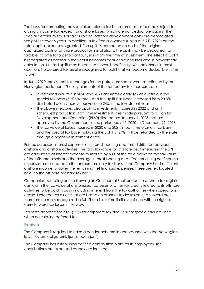The basis for computing the special petroleum tax is the same as for income subject to ordinary income tax, except for onshore losses, which are not deductible against the special petroleum tax. For tax purposes, offshore development costs are depreciated straight line over 6 years. In addition, a tax-free allowance (uplift) of 5.2% (2020) on the total capital expenses is granted. The uplift is computed on basis of the original capitalized costs of offshore production installations. The uplift may be deducted from taxable income for a period of four years from the time of investment. The effect of uplift is recognized as earned in the year it becomes deductible and included in payable tax calculation. Unused uplift may be carried forward indefinitely, with an annual interest addition. No deferred tax asset is recognized for uplift that will become deductible in the future.

In June 2020, provisional tax changes for the petroleum sector were sanctioned by the Norwegian parliament. The key elements of the temporary tax measures are

- Investments incurred in 2020 and 2021 are immediately tax deductible in the special tax base (56% tax rate), and the uplift has been increased from 20.8% distributed evenly across four years to 24% in the investment year
- The above measures also apply to investments incurred in 2022 and until scheduled production start if the investments are made pursuant to a Plan for Development and Operation (PDO) filed before January 1, 2023 that are approved by the Government in the period May 12, 2020 to December 21, 2023.
- The tax value of losses incurred in 2020 and 2021(in both the ordinary tax base and the special tax base including the uplift of 24%) will be refunded by the state through a negative instalment of tax.

For tax purposes, interest expenses on interest-bearing debt are distributed between onshore and offshore activities. The tax allowance for offshore debt interests in the SPT are calculated as interest expense multiplied by 50% of the ratio between the tax value of the offshore assets and the average interest-bearing debt. The remaining net financial expenses are allocated to the onshore ordinary tax basis. If the Company has insufficient onshore income to cover the remaining net financial expenses, these are reallocated back to the offshore ordinary tax basis.

Companies operating on the Norwegian Continental Shelf under the offshore tax regime can claim the tax value of any unused tax losses or other tax credits related to its offshore activities to be paid in cash (including interest) from the tax authorities when operations cease. Deferred tax assets that are based on offshore tax losses carried forward are therefore normally recognized in full. There is no time limit associated with the right to carry forward tax losses in Norway.

Tax rates adopted for 2021 (22 % for corporate tax and 56 % for special tax) are used when calculating deferred tax.

#### **Pensions**

The Company is required to have a pension scheme in accordance with the Norwegian law ("lov om obligatorisk tjenestepensjon").

The Company has established defined contribution plans for its employees. The contributions are expensed as they are incurred.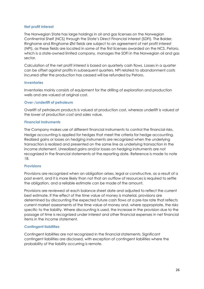#### **Net profit interest**

The Norwegian State has large holdings in oil and gas licenses on the Norwegian Continental Shelf (NCS) through the State's Direct Financial Interest (SDFI). The Balder, Ringhorne and Ringhorne Øst fields are subject to an agreement of net profit interest (NPI), as these fields are located in some of the first licenses awarded on the NCS. Petoro, which is a state-owned limited company, manages the SDFI in the Norwegian oil and gas sector.

Calculation of the net profit interest is based on quarterly cash flows. Losses in a quarter can be offset against profits in subsequent quarters. NPI related to abandonment costs incurred after the production has ceased will be refunded by Petoro.

#### **Inventories**

Inventories mainly consists of equipment for the drilling of exploration and production wells and are valued at original cost.

#### **Over-/underlift of petroleum**

Overlift of petroleum products is valued at production cost, whereas underlift is valued at the lower of production cost and sales value.

#### **Financial instruments**

The Company makes use of different financial instruments to control the financial risks. Hedge accounting is applied for hedges that meet the criteria for hedge accounting. Realized gains or losses on hedging instruments are recognized when the underlying transaction is realized and presented on the same line as underlying transaction in the income statement. Unrealized gains and/or losses on hedging instruments are not recognized in the financial statements at the reporting date. Reference is made to note 18.

#### **Provisions**

Provisions are recognized when an obligation arises, legal or constructive, as a result of a past event, and it is more likely than not that an outflow of resources is required to settle the obligation, and a reliable estimate can be made of the amount.

Provisions are reviewed at each balance sheet date and adjusted to reflect the current best estimate. lf the effect of the time value of money is material, provisions are determined by discounting the expected future cash flows at a pre-tax rate that reflects current market assessments of the time value of money and, where appropriate, the risks specific to the liability. Where discounting is used, the increase in the provision due to the passage of time is recognized under interest and other financial expenses in net financial items in the income statement.

#### **Contingent liabilities**

Contingent liabilities are not recognized in the financial statements. Significant contingent liabilities are disclosed, with exception of contingent liabilities where the probability of the liability occurring is remote.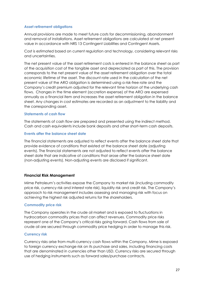#### **Asset retirement obligations**

Annual provisions are made to meet future costs for decommissioning, abandonment and removal of installations. Asset retirement obligations are calculated at net present value in accordance with NRS 13 Contingent Liabilities and Contingent Assets.

Cost is estimated based on current regulation and technology, considering relevant risks and uncertainties.

The net present value of the asset retirement costs is entered in the balance sheet as part of the acquisition cost of the tangible asset and depreciated as part of this. The provision corresponds to the net present value of the asset retirement obligation over the total economic lifetime of the asset. The discount rate used in the calculation of the net present value of the ARO obligation is determined using a risk-free rate and the Company's credit premium adjusted for the relevant time horizon of the underlying cash flows. Changes in the time element (accretion expense) of the ARO are expensed annually as a financial item and increases the asset retirement obligation in the balance sheet. Any changes in cost estimates are recorded as an adjustment to the liability and the corresponding asset.

#### **Statements of cash flow**

The statements of cash flow are prepared and presented using the indirect method. Cash and cash equivalents include bank deposits and other short-term cash deposits.

#### **Events after the balance sheet date**

The financial statements are adjusted to reflect events after the balance sheet date that provide evidence of conditions that existed at the balance sheet date (adjusting events). The financial statements are not adjusted to reflect events after the balance sheet date that are indicative of conditions that arose after the balance sheet date (non-adjusting events). Non-adjusting events are disclosed if significant.

#### **Financial Risk Management**

Mime Petroleum's activities expose the Company to market risk (including commodity price risk, currency risk and interest rate risk), liquidity risk and credit risk. The Company's approach to risk management includes assessing and managing risk with focus on achieving the highest risk adjusted returns for the shareholders.

#### **Commodity price risk**

The Company operates in the crude oil market and is exposed to fluctuations in hydrocarbon commodity prices that can affect revenues. Commodity price risks represent one of the Company's critical risks going forward. Cash flows from sale of crude oil are secured through commodity price hedging in order to manage this risk.

#### **Currency risk**

Currency risks arise from multi-currency cash flows within the Company. Mime is exposed to foreign currency exchange risk on its purchase and sales, including financing costs that are denominated in currencies other than USD. Currency risks are secured through use of hedging instruments such as forward sales/purchase contracts.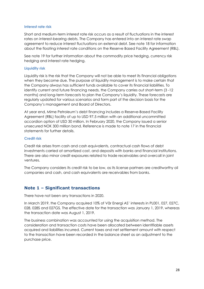#### **Interest rate risk**

Short and medium-term interest rate risk occurs as a result of fluctuations in the interest rates on interest-bearing debts. The Company has entered into an interest rate swap agreement to reduce interest fluctuations on external debt. See note 18 for information about the floating interest rate conditions on the Reserve Based Facility Agreement (RBL).

See note 19 for further information about the commodity price hedging, currency risk hedging and interest rate hedging.

#### **Liquidity risk**

Liquidity risk is the risk that the Company will not be able to meet its financial obligations when they become due. The purpose of liquidity management is to make certain that the Company always has sufficient funds available to cover its financial liabilities. To identify current and future financing needs, the Company carries out short-term (3 -12 months) and long-term forecasts to plan the Company's liquidity. These forecasts are regularly updated for various scenarios and form part of the decision basis for the Company's management and Board of Directors.

At year end, Mime Petroleum's debt financing includes a Reserve-Based Facility Agreement (RBL) facility of up to USD 97.5 million with an additional uncommitted accordion option of USD 30 million. In February 2020, the Company issued a senior unsecured NOK 300 million bond. Reference is made to note 17 in the financial statements for further details.

#### **Credit risk**

Credit risk arises from cash and cash equivalents, contractual cash flows of debt investments carried at amortized cost, and deposits with banks and financial institutions. There are also minor credit exposures related to trade receivables and overcall in joint ventures.

The Company considers its credit risk to be low, as its license partners are creditworthy oil companies and cash, and cash equivalents are receivables from banks.

# **Note 1 – Significant transactions**

There have not been any transactions in 2020.

In March 2019, the Company acquired 10% of Vår Energi AS' interests in PL001, 027, 027C, 028, 028S and 027GS. The effective date for the transaction was January 1, 2019, whereas the transaction date was August 1, 2019.

The business combination was accounted for using the acquisition method. The consideration and transaction costs have been allocated between identifiable assets acquired and liabilities incurred. Current taxes and net settlement amount with respect to the transaction have been recorded in the balance sheet as an adjustment to the purchase price.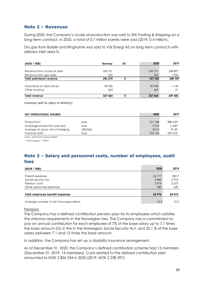## **Note 2 – Revenues**

During 2020, the Company's crude oil production was sold to ENI Trading & Shipping on a long-term contract. In 2020, a total of 0.7 million barrels were sold (2019: 0.4 million).

Dry gas from Balder and Ringhorne was sold to Vår Energi AS on long term contracts with delivery inlet area D.

| (NOK 1 000)                  | Norway  | EU | 2020    | 2019    |
|------------------------------|---------|----|---------|---------|
|                              |         |    |         |         |
| Revenue from crude oil sales | 245 721 |    | 245 721 | 238 807 |
| Revenue from gas sales       | 552     |    | 552     | 1902    |
| Total petroleum revenue      | 246 274 | 0  | 337 202 | 240 709 |
|                              |         |    |         |         |
| Gain/(loss) on derivatives   | 90 928  |    | 90 928  | $-1145$ |
| Other revenue                | 263     |    | 263     | 21      |
| Total revenue                | 337 464 | 0  | 337 464 | 239 585 |

*(revenue split by place of delivery)* 

| <b>KEY OPERATIONAL FIGURES</b>    |         | 2020    | 2019     |
|-----------------------------------|---------|---------|----------|
|                                   |         |         |          |
| Production*                       | boe     | 761 748 | 388 659* |
| Averagge production per day*      | boe     | 2070    | 2 540*   |
| Average oil price, net of hedging | USD/bbl | 50.54   | 57.40    |
| Volumes sold*                     | boe     | 732 163 | 439 372* |
| .                                 |         |         |          |

*boe = barrel of oil equivalent*

*\* from August 1, 2019*

# **Note 3 – Salary and personnel costs, number of employees, audit fees**

| (NOK 1 000)                             | 2020   | 2019    |
|-----------------------------------------|--------|---------|
|                                         |        |         |
| Payroll expenses                        | 24 177 | 18217   |
| Social security tax                     | 3840   | 2976    |
| Pension costs                           | 3979   | 2673    |
| Other personnel expenses                | 980    | 549     |
|                                         |        |         |
| Total employee benefit expenses         | 32 976 | 24 4 15 |
|                                         |        |         |
| Average number of full time equivalents | 15,3   | 13.2    |

#### Pensions

The Company has a defined contribution pension plan for its employees which satisfies the statutory requirements in the Norwegian law. The Company has a commitment to pay an annual contribution for each employee of 7% of the base salary up to 7.1 times the base amount (G) in the in the Norwegian Social Security Act, and 25.1 % of the base salary between 7.1 and 12 times the base amount.

In addition, the Company has set up a disability insurance arrangement.

As of December 31, 2020, the Company's defined contribution scheme had 15 members (December 31, 2019: 15 members). Costs related to the defined contribution plan amounted to NOK 2 826 334 in 2020 (2019: NOK 2 238 397).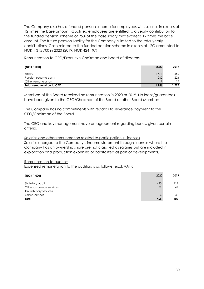The Company also has a funded pension scheme for employees with salaries in excess of 12 times the base amount. Qualified employees are entitled to a yearly contribution to the funded pension scheme of 25% of the base salary that exceeds 12 times the base amount. The future pension liability for the Company is limited to the total yearly contributions. Costs related to the funded pension scheme in excess of 12G amounted to NOK 1 315 700 in 2020 (2019: NOK 424 197).

Remuneration to CEO/Executive Chairman and board of directors

| (NOK 1 000)                      | 2020 | 2019 |
|----------------------------------|------|------|
| Salary                           | 477  | 556  |
| Pension scheme costs             | 262  | 224  |
| Other remuneration               |      |      |
| <b>Total remuneration to CEO</b> | 1756 | 797  |

Members of the Board received no remuneration in 2020 or 2019. No loans/guarantees have been given to the CEO/Chairman of the Board or other Board Members.

The Company has no commitments with regards to severance payment to the CEO/Chairman of the Board.

The CEO and key management have an agreement regarding bonus, given certain criteria.

Salaries and other remuneration related to participation in licenses Salaries charged to the Company's income statement through licenses where the Company has an ownership share are not classified as salaries but are included in exploration and production expenses or capitalized as part of developments.

#### Remuneration to auditors

Expensed remuneration to the auditors is as follows (excl. VAT):

| (NOK 1 000)              | 2020  | 2019 |
|--------------------------|-------|------|
|                          |       |      |
| Statutory audit          | 430   | 217  |
| Other assurance services | 52    | 47   |
| Tax advisory services    |       |      |
| Other services           | $-14$ | 38   |
| Total                    | 468   | 302  |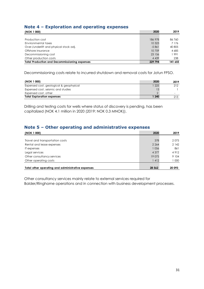# **Note 4 – Exploration and operating expenses**

| (NOK 1 000)                                          | 2020    | 2019    |
|------------------------------------------------------|---------|---------|
|                                                      |         |         |
| Production cost                                      | 186 978 | 86 760  |
| Environmental taxes                                  | 10 3 23 | 7 1 7 6 |
| Over-/underlift and physical stock adj.              | $-5861$ | 40 805  |
| Offshore insurance                                   | 10759   | 4 6 8 5 |
| Decommissioning cost                                 | 23 156  | 1991    |
| Other production costs                               | 4 4 3 9 | 238     |
| <b>Total Production and Decommissioning expenses</b> | 229 794 | 141 655 |

Decommissioning costs relate to incurred shutdown and removal costs for Jotun FPSO.

| (NOK 1 000)                             | 2020  | 2019 |
|-----------------------------------------|-------|------|
| Expensed cost, geological & geophysical | 1225  | 212  |
| Expensed cost, seismic and studies      | 13    |      |
| Expensed cost, other                    |       | -    |
| <b>Total Exploration expenses</b>       | 1 240 | 213  |

Drilling and testing costs for wells where status of discovery is pending, has been capitalized (NOK 4.1 million in 2020 (2019: NOK 0.3 MNOK)).

# **Note 5 – Other operating and administrative expenses**

| (NOK 1 000)                                       | 2020     | 2019   |
|---------------------------------------------------|----------|--------|
|                                                   |          |        |
| Travel and transportation costs                   | 378      | 2075   |
| Rental and lease expenses                         | 2 2 6 4  | 2 142  |
| IT expenses                                       | 1056     | 861    |
| Legal services                                    | 4 3 7 7  | 4912   |
| Other consultancy services                        | 19 075   | 9 104  |
| Other operating costs                             | 1412     | 1 000  |
|                                                   |          |        |
| Total other operating and administrative expenses | 28 5 6 2 | 20 093 |

Other consultancy services mainly relate to external services required for Balder/Ringhorne operations and in connection with business development processes.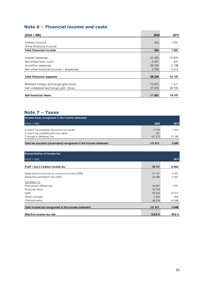# **Note 6 – Financial income and costs**

| (NOK 1 000)                             | 2020      | 2019      |
|-----------------------------------------|-----------|-----------|
|                                         |           |           |
| Interest income                         | 506       | 1 0 3 1   |
| Other financial income                  |           |           |
| <b>Total financial income</b>           | 506       | 1 0 3 1   |
|                                         |           |           |
| Interest expenses                       | $-31692$  | $-10.876$ |
| Amortised loan costs                    | $-2691$   | $-541$    |
| Accretion expenses                      | $-20039$  | $-2108$   |
| Net other financial income / (expenses) | $-3783$   | $-2613$   |
|                                         |           |           |
| <b>Total financial expense</b>          | $-58205$  | -16 137   |
|                                         |           |           |
| Realised foreign exchange gain/(loss)   | $-10.875$ | $-1617$   |
| Net unrealised exchange gain / (loss)   | 57 572    | 30 9 20   |
|                                         |           |           |
| <b>Net financial items</b>              | -11 001   | 14 197    |

# **Note 7 – Taxes**

| Income taxes recognised in the income statement                   |                    |          |
|-------------------------------------------------------------------|--------------------|----------|
| (NOK 1 000)                                                       | 2020               | 2019     |
| Current tax payable / (income tax credit)                         | 9 7 2 9            | 7 331    |
| Current tax payable previous years<br>Change in deferred tax      | $-35$<br>$-161512$ | $-13180$ |
| Total tax payable (receivable) recognised in the income statement | $-151819$          | $-5849$  |

| <b>Reconciliation of income tax</b>                 |           |           |
|-----------------------------------------------------|-----------|-----------|
| (NOK 1 000)                                         |           | 2019      |
| Profit / loss (-) before income tax                 | $-98731$  | 16822     |
| Expected income tax at nominal tax rate (22%)       | $-21721$  | 3701      |
| Expected petroleum tax (56%)                        | $-55289$  | 9 4 2 1   |
| Tax effect of:                                      |           |           |
| Permanent differences                               | 36 841    | 7991      |
| Financial items                                     | 33 793    |           |
| Uplift                                              | $-90252$  | $-10.517$ |
| Other changes                                       | 3 3 4 5   | -396      |
| Onshore items                                       | $-58536$  | $-16048$  |
|                                                     | $-151819$ |           |
| Total income tax recognised in the income statement |           | $-5848$   |
| Effective income tax rate                           | 153,8%    | $-34.8%$  |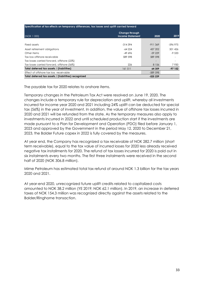| Specification of tax effects on temporary differences, tax losses and uplift carried forward |           |            |          |  |
|----------------------------------------------------------------------------------------------|-----------|------------|----------|--|
| Change through<br>(NOK 1 000)<br><b>Income Statement</b><br>2020                             |           |            |          |  |
|                                                                                              |           |            |          |  |
| Fixed assets                                                                                 | -314 394  | $-911.369$ | -596 975 |  |
| Asset retirement obligations                                                                 | -64 224   | 437 202    | 501 426  |  |
| Other items                                                                                  | $-49.696$ | $-59229$   | $-9.533$ |  |
| Tax loss offshore receivable                                                                 | 589 598   | 589 598    |          |  |
| Tax losses carried forward, offshore (22%)                                                   |           |            |          |  |
| Tax losses carried forward, offshore (56%)                                                   | 226       | 8 1 5 6    | 7930     |  |
| Total deferred tax assets / (liabilities)                                                    | 161 511   | 64 359     | $-97152$ |  |
| Effect of offshore tax loss receivable                                                       |           | $-589$ 598 |          |  |
| Total deferred tax assets / (liabilities) recognized                                         |           | $-525239$  |          |  |

The payable tax for 2020 relates to onshore items.

Temporary changes in the Petroleum Tax Act were resolved on June 19, 2020. The changes include a temporary rule for depreciation and uplift, whereby all investments incurred for income year 2020 and 2021 including 24% uplift can be deducted for special tax (56%) in the year of investment. In addition, the value of offshore tax losses incurred in 2020 and 2021 will be refunded from the state. As the temporary measures also apply to investments incurred in 2022 and until scheduled production start if the investments are made pursuant to a Plan for Development and Operation (PDO) filed before January 1, 2023 and approved by the Government in the period May 12, 2020 to December 21, 2023, the Balder Future capex in 2022 is fully covered by the measures.

At year end, the Company has recognized a tax receivable of NOK 282.7 million (short term receivable), equal to the tax value of incurred losses for 2020 less already received negative tax installments for 2020. The refund of tax losses incurred for 2020 is paid out in six instalments every two months. The first three instalments were received in the second half of 2020 (NOK 306.8 million).

Mime Petroleum has estimated total tax refund of around NOK 1.3 billion for the tax years 2020 and 2021.

At year-end 2020, unrecognized future uplift credits related to capitalized costs amounted to NOK 38.2 million (YE 2019; NOK 62.1 million). In 2019, an increase in deferred taxes of NOK 154.3 million was recognized directly against the assets related to the Balder/Ringhorne transaction.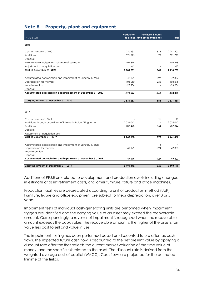# **Note 8 – Property, plant and equipment**

| (NOK 1 000)                                                                              | <b>Production</b> | Furniture, fixtures<br>facilities and office machines | Total             |
|------------------------------------------------------------------------------------------|-------------------|-------------------------------------------------------|-------------------|
|                                                                                          |                   |                                                       |                   |
| 2020                                                                                     |                   |                                                       |                   |
| Cost at January 1, 2020                                                                  | 2 240 533         | 873                                                   | 2 241 407         |
| Additions                                                                                | 571 695           | 76                                                    | 571 771           |
| <b>Disposals</b>                                                                         |                   | $\overline{\phantom{a}}$                              |                   |
| Asset removal obligation - change of estimate                                            | $-102378$         | $\overline{\phantom{a}}$                              | $-102378$         |
| Adjustment of acquisition cost                                                           | -61               |                                                       | -61               |
| Cost at December 31, 2020                                                                | 2 709 789         | 949                                                   | 2 710 739         |
|                                                                                          |                   |                                                       |                   |
| Accumulated depreciation and impairment at January 1, 2020                               | $-49$ 179         | $-127$                                                | -49 307           |
| Depreciation for the year                                                                | $-103060$         | $-235$                                                | $-103295$         |
| Impairment loss                                                                          | $-26286$          | ä,                                                    | $-26286$          |
| Disposals                                                                                |                   | $\overline{\phantom{a}}$                              |                   |
| Accumulated depreciation and impairment at December 31, 2020                             | -178 526          | $-362$                                                | $-178889$         |
|                                                                                          |                   |                                                       |                   |
| Carrying amount at December 31, 2020                                                     | 2 531 263         | 588                                                   | 2 531 851         |
|                                                                                          |                   |                                                       |                   |
|                                                                                          |                   |                                                       |                   |
| 2019                                                                                     |                   |                                                       |                   |
|                                                                                          |                   |                                                       |                   |
| Cost at January 1, 2019<br>Additions through acquisition of interest in Balder/Ringhorne | 2 0 34 0 42       | 21<br>$\overline{\phantom{a}}$                        | 21<br>2 0 34 0 42 |
| Additions                                                                                | 206 490           | 854                                                   | 207 344           |
| Disposals                                                                                |                   | ٠                                                     |                   |
| Adjustment of acquisition cost                                                           |                   | $\sim$                                                |                   |
| Cost at December 31, 2019                                                                | 2 240 533         | 873                                                   | 2 241 407         |
|                                                                                          |                   |                                                       |                   |
| Accumulated depreciation and impairment at January 1, 2019                               |                   | $-4$                                                  | -4                |
| Depreciation for the year                                                                | $-49$ 179         | $-124$                                                | $-49303$          |
| Impairment loss                                                                          |                   | ٠                                                     |                   |
| Disposals                                                                                |                   |                                                       |                   |
| Accumulated depreciation and impairment at December 31, 2019                             | $-49179$          | $-127$                                                | -49 307           |
|                                                                                          |                   |                                                       |                   |
| Carrying amount at December 31, 2019                                                     | 2 191 353         | 746                                                   | 2 192 100         |

Additions of PP&E are related to development and production assets including changes in estimate of asset retirement costs, and other furniture, fixture and office machines.

Production facilities are depreciated according to unit of production method (UoP). Furniture, fixture and office equipment are subject to linear depreciation, over 3 or 5 years.

Impairment tests of individual cash-generating units are performed when impairment triggers are identified and the carrying value of an asset may exceed the recoverable amount. Correspondingly, a reversal of impairment is recognized when the recoverable amount exceeds the book value. The recoverable amount is the higher of the asset's fair value less cost to sell and value in use.

The impairment testing has been performed based on discounted future after tax cash flows. The expected future cash flow is discounted to the net present value by applying a discount rate after tax that reflects the current market valuation of the time value of money, and the specific risk related to the asset. The discount rate is derived from the weighted average cost of capital (WACC). Cash flows are projected for the estimated lifetime of the fields.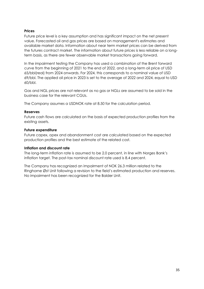#### **Prices**

Future price level is a key assumption and has significant impact on the net present value. Forecasted oil and gas prices are based on management's estimates and available market data. Information about near term market prices can be derived from the futures contract market. The information about future prices is less reliable on a longterm basis, as there are fewer observable market transactions going forward.

In the impairment testing the Company has used a combination of the Brent forward curve from the beginning of 2021 to the end of 2022, and a long-term oil price of USD 65/bbl(real) from 2024 onwards. For 2024, this corresponds to a nominal value of USD 69/bbl. The applied oil price in 2023 is set to the average of 2022 and 2024, equal to USD 60/bbl.

Gas and NGL prices are not relevant as no gas or NGLs are assumed to be sold in the business case for the relevant CGUs.

The Company assumes a USDNOK rate at 8.50 for the calculation period.

#### **Reserves**

Future cash flows are calculated on the basis of expected production profiles from the existing assets.

#### **Future expenditure**

Future capex, opex and abandonment cost are calculated based on the expected production profiles and the best estimate of the related cost.

#### **Inflation and discount rate**

The long-term inflation rate is assumed to be 2.0 percent, in line with Norges Bank's inflation target. The post-tax nominal discount rate used is 8.4 percent.

The Company has recognized an impairment of NOK 26.3 million related to the Ringhorne Øst Unit following a revision to the field's estimated production and reserves. No impairment has been recognized for the Balder Unit.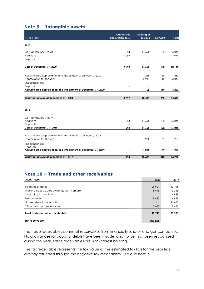# **Note 9 – Intangible assets**

| (NOK 1 000)                                                  | <b>Capitalized</b><br>exploration costs | Licensing of<br>seismic | <b>Software</b> | <b>Total</b> |
|--------------------------------------------------------------|-----------------------------------------|-------------------------|-----------------|--------------|
| 2020                                                         |                                         |                         |                 |              |
| Cost at January 1, 2020                                      | 293                                     | 14 651                  | 1 102           | 16046        |
| Additions                                                    | 4099                                    |                         |                 | 4099         |
| Disposals                                                    |                                         |                         |                 |              |
| Cost at December 31, 2020                                    | 4 3 9 2                                 | 14 651                  | 1 102           | 20 145       |
|                                                              |                                         |                         |                 |              |
| Accumulated depreciation and impairment at January 1, 2020   |                                         | $-1221$                 | $-59$           | $-1280$      |
| Depreciation for the year                                    |                                         | $-2930$                 | $-110$          | $-3040$      |
| Impairment loss                                              |                                         |                         | ÷,              |              |
| Disposals                                                    | ۰                                       |                         | $\sim$          |              |
| Accumulated depreciation and impairment at December 31, 2020 | $\blacksquare$                          | $-4151$                 | $-169$          | $-4320$      |
| Carrying amount at December 31, 2020                         | 4 3 9 2                                 | 10 500                  | 933             | 15826        |
| 2019                                                         |                                         |                         |                 |              |
| Cost at January 1, 2019                                      |                                         |                         |                 |              |
| Additions                                                    | 293                                     | 14 651                  | 1 102           | 16046        |
| <b>Disposals</b>                                             |                                         |                         |                 |              |
| Cost at December 31, 2019                                    | 293                                     | 14 651                  | 1 102           | 16 046       |
| Accumulated depreciation and impairment at January 1, 2019   |                                         |                         |                 |              |
| Depreciation for the year                                    |                                         | $-1221$                 | $-59$           | $-1280$      |
| Impairment loss                                              |                                         |                         | ÷,              |              |
| <b>Disposals</b>                                             |                                         |                         |                 |              |
| Accumulated depreciation and impairment at December 31, 2019 | $\blacksquare$                          | $-1221$                 | $-59$           | $-1280$      |
| Carrying amount at December 31, 2019                         | 293                                     | 13 430                  | 1 043           | 14767        |

# **Note 10 – Trade and other receivables**

| (NOK 1 000)                                 | 2020                     | 2019    |
|---------------------------------------------|--------------------------|---------|
|                                             |                          |         |
| Trade receivables                           | 26 9 27                  | 42 101  |
| Working capital, prepayments, joint venture | 6915                     | 3745    |
| Overcall, joint ventures                    | $\overline{\phantom{a}}$ | 4 9 8 1 |
| Prepayments                                 | 8 8 8 0                  | 6 6 3 3 |
| Not registered sharecapital                 |                          | 26 600  |
| Other short term receivables                | 3860                     | l 495   |
| Total trade and other receivables           | 48 949                   | 85 555  |
|                                             |                          |         |
| Tax receivable                              | 282 806                  |         |

The trade receivables consist of receivables from financially solid oil and gas companies. No allowances for doubtful debts have been made, and no loss has been recognized during the year. Trade receivables are non-interest bearing.

The tax receivable represents the tax value of the estimated tax loss for the year less already refunded through the negative tax mechanism. See also note 7.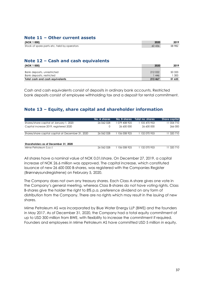## **Note 11 – Other current assets**

| (NOK 1 000)                                 | 2020   | 2019   |
|---------------------------------------------|--------|--------|
| Stock of spare parts etc. held by operators | 60 436 | 58 982 |

# **Note 12 – Cash and cash equivalents**

| (NOK 1 000)                     | 2020    | 2019   |
|---------------------------------|---------|--------|
|                                 |         |        |
| Bank deposits, unrestricted     | 212 022 | 50 333 |
| Bank deposits, restricted       | 446     | 30C    |
| Total cash and cash equivalents | 213 467 | 51 633 |

Cash and cash equivalents consist of deposits in ordinary bank accounts. Restricted bank deposits consist of employee withholding tax and a deposit for rental commitment.

# **Note 13 – Equity, share capital and shareholder information**

|                                                   | No. A shares | No. B shares  | Total no. shares | Share capital |
|---------------------------------------------------|--------------|---------------|------------------|---------------|
| Shares/share capital at January 1, 2020           | 26 062 028   | 079 408 925   | 105 470 953      | 11 054 710    |
| Capital increase 2019, registered 2020            |              | 26 600 000    | 26 600 000       | 266 000       |
| Shares/share capital capital at December 31, 2020 | 26 062 028   | 1 106 008 925 | 1 132 070 953    | 11 320 710    |
|                                                   |              |               |                  |               |
| Shareholders as of December 31, 2020              |              |               |                  |               |
| Mime Petroleum S.a.r.I                            | 26 062 028   | 106 008 925   | 132 070 953      | 11 320 710    |

All shares have a nominal value of NOK 0.01/share. On December 27, 2019, a capital increase of NOK 26.6 million was approved. The capital increase, which constituted issuance of new 26 600 000 B-shares, was registered with the Companies Register (Brønnøysundregistrene) on February 5, 2020.

The Company does not own any treasury shares. Each Class A-share gives one vote in the Company's general meeting, whereas Class B-shares do not have voting rights. Class B-shares give the holder the right to 8% p.a. preference dividend on any form of distribution from the Company. There are no rights which may result in the issuing of new shares.

Mime Petroleum AS was incorporated by Blue Water Energy LLP (BWE) and the founders in May 2017. As of December 31, 2020, the Company had a total equity commitment of up to USD 300 million from BWE, with flexibility to increase the commitment if required. Founders and employees in Mime Petroleum AS have committed USD 5 million in equity.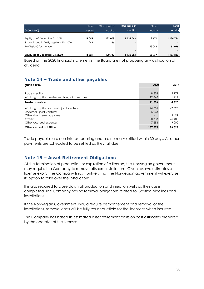|                                           | Share   | Other paid-in | Total paid-in | Other  | <b>Total</b> |
|-------------------------------------------|---------|---------------|---------------|--------|--------------|
| (NOK 1 000)                               | capital | capital       | capital       | equity | equity       |
|                                           |         |               |               |        |              |
| Equity as of December 31, 2019            | 11 055  | 1 121 008     | 1 132 063     | 2671   | 1 134 734    |
| Shares issued in 2019, registered in 2020 | 266     | $-266$        |               |        |              |
| Profit/(loss) for the year                |         |               |               | 53 096 | 53 096       |
|                                           |         |               |               |        |              |
| Equity as of December 31, 2020            | 11 321  | 1 120 742     | 132 063       | 55 767 | 1 187 830    |

Based on the 2020 financial statements, the Board are not proposing any distribution of dividend.

# **Note 14 – Trade and other payables**

| (NOK 1 000)                                     | 2020    | 2019    |
|-------------------------------------------------|---------|---------|
|                                                 |         |         |
| Trade creditors                                 | 8878    | 2779    |
| Working capital, trade creditors, joint venture | 12848   | 1911    |
| Trade payables                                  | 21 726  | 4 6 9 0 |
| Working capital, accruals, joint venture        | 94 736  | 47 693  |
| Undercall, joint ventures                       | 5 0 4 3 |         |
| Other short term payables                       |         | 3 4 9 9 |
| Overlift                                        | 30 703  | 26 403  |
| Other accrued expenses                          | 7 2 9 6 | 9 0 0 0 |
| <b>Other current liabilities</b>                | 137 779 | 86 596  |

Trade payables are non-interest bearing and are normally settled within 30 days. All other payments are scheduled to be settled as they fall due.

# **Note 15 – Asset Retirement Obligations**

At the termination of production or expiration of a license, the Norwegian government may require the Company to remove offshore installations. Given reserve estimates at license expiry, the Company finds it unlikely that the Norwegian government will exercise its option to take over the installations.

It is also required to close down all production and injection wells as their use is completed. The Company has no removal obligations related to Gassled pipelines and installations.

If the Norwegian Government should require dismantlement and removal of the installations, removal costs will be fully tax deductible for the licensees when incurred.

The Company has based its estimated asset retirement costs on cost estimates prepared by the operator of the licenses.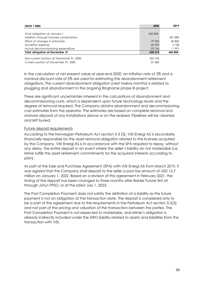| (NOK 1 000)                                                                      | 2020              | 2019    |
|----------------------------------------------------------------------------------|-------------------|---------|
|                                                                                  |                   |         |
| Total obligation at January 1                                                    | 642 854           |         |
| Addition through business combination                                            |                   | 601885  |
| Effect of changes in estimates                                                   | $-7922$           | 40 852  |
| Accretion expense                                                                | 20 039            | 2 108   |
| Actual decommissioning expenditure                                               | $-23$ 156         | $-1991$ |
| <b>Total obligation at December 31</b>                                           | 560 515           | 642 854 |
| Non-current portion at December 31, 2020<br>Current portion at December 31, 2020 | 523 106<br>37 500 |         |

In the calculation of net present value at year-end 2020, an inflation rate of 2% and a nominal discount rate of 5% are used for estimating the abandonment retirement obligations. The current abandonment obligation (next twelve months) is related to plugging and abandonment in the ongoing Ringhorne phase III project.

There are significant uncertainties inherent in the calculations of abandonment and decommissioning costs, which is dependent upon future technology levels and the degree of removal required. The Company obtains abandonment and decommissioning cost estimates from the operator. The estimates are based on complete removal and onshore disposal of any installations above or on the seabed. Pipelines will be cleaned and left buried.

#### Future deposit requirements

According to the Norwegian Petroleum Act section 5-3 (3), Vår Energi AS is secondarily financially responsible for the asset removal obligation related to the licenses acquired by the Company. Vår Energi AS is in accordance with the SPA required to repay, without any delay, the entire deposit in an event where the seller's liability do not materialize (i.e. Mime fulfills the asset retirement commitments for the acquired interests according to plan).

As part of the Sale and Purchase Agreement (SPA) with Vår Energi AS from March 2019, it was agreed that the Company shall deposit to the seller a post-tax amount of USD 12.7 million on January 1, 2022. Based on a revision of this agreement in February 2021, the timing of the deposit has been changed to three months after Balder Future first oil through Jotun FPSO, or at the latest July 1, 2023.

The Post Completion Payment does not satisfy the definition of a liability as the future payment is not an obligation at the transaction date. The deposit is considered only to be a part of the agreement due to the requirements in the Petroleum Act section 5-3(3) and not part of the pricing and valuation of the transaction between the parties. The Post Completion Payment is not expected to materialize, and Mime's obligation is already indirectly included under the ARO liability related to assets and liabilities from the transaction with Vår.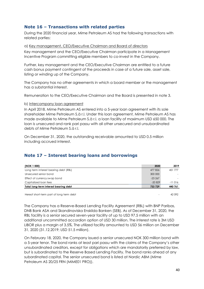# **Note 16 – Transactions with related parties**

During the 2020 financial year, Mime Petroleum AS had the following transactions with related parties:

#### a) Key management, CEO/Executive Chairman and Board of directors

Key management and the CEO/Executive Chairman participate in a Management Incentive Program committing eligible members to co-invest in the Company.

Further, key management and the CEO/Executive Chairman are entitled to a future cash bonus payment contingent of the proceeds in case of a future sale, asset sale, listing or winding up of the Company.

The Company has no other agreements in which a board member or the management has a substantial interest.

Remuneration to the CEO/Executive Chairman and the Board is presented in note 3.

#### b) Intercompany loan agreement

In April 2018, Mime Petroleum AS entered into a 5-year loan agreement with its sole shareholder Mime Petroleum S.à r.l. Under this loan agreement, Mime Petroleum AS has made available to Mime Petroleum S.à r.l. a loan facility of maximum USD 650 000. The loan is unsecured and rank pari passu with all other unsecured and unsubordinated debts of Mime Petroleum S.à r.l.

On December 31, 2020, the outstanding receivable amounted to USD 0.5 million including accrued interest.

# **Note 17 – Interest bearing loans and borrowings**

| (NOK 1 000)                           | 2020     | 2019     |
|---------------------------------------|----------|----------|
| Long term interest bearing debt (RBL) | 477 826  | 451 777  |
| Unsecured senior bond                 | 300 000  |          |
| Effect of currency swap bond          | $-23267$ |          |
| Capitalized loan fees                 | $-20829$ | $-11016$ |
| Total long-term interest bearing debt | 733 729  | 440 761  |

Hereof short-term part of long term debt 42 092

The Company has a Reserve-Based Lending Facility Agreement (RBL) with BNP Paribas, DNB Bank ASA and Skandinaviska Enskilda Banken (SEB). As of December 31, 2020, the RBL facility is a senior secured seven-year facility of up to USD 97.5 million with an additional uncommitted accordion option of USD 30 million. The interest rate is 3M USD LIBOR plus a margin of 3.5%. The utilized facility amounted to USD 56 million on December 31, 2020 (31.12.2019; USD 51.5 million).

On February 18, 2020, the Company issued a senior unsecured NOK 300 million bond with a 5-year tenor. The bond ranks at least pari passu with the claims of the Company's other unsubordinated creditors, except for obligations which are mandatorily preferred by law, but is subordinated to the Reserve Based Lending Facility. The bond ranks ahead of any subordinated capital. The senior unsecured bond is listed at Nordic ABM (Mime Petroleum AS 20/25 FRN (MIME01 PRO)).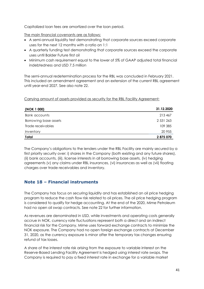Capitalized loan fees are amortized over the loan period.

The main financial covenants are as follows:

- A semi-annual liquidity test demonstrating that corporate sources exceed corporate uses for the next 12 months with a ratio on 1:1
- A quarterly funding test demonstrating that corporate sources exceed the corporate uses until Balder Future first oil
- Minimum cash requirement equal to the lower of 5% of GAAP adjusted total financial indebtedness and USD 7.5 million

The semi-annual redetermination process for the RBL was concluded in February 2021. This included an amendment agreement and an extension of the current RBL agreement until year-end 2027. See also note 22.

Carrying amount of assets provided as security for the RBL Facility Agreement:

| (NOK 1 000)           | 31.12.2020 |
|-----------------------|------------|
| Bank accounts         | 213 467    |
| Borrowing base assets | 2 531 263  |
| Trade receivables     | 109 385    |
| Inventory             | 20 955     |
| Total                 | 2875070    |

The Company's obligations to the lenders under the RBL Facility are mainly secured by a first priority security over: i) shares in the Company (both existing and any future shares), (ii) bank accounts, (iii), license interests in all borrowing base assets, (iv) hedging agreements (v) any claims under RBL insurances, (vi) insurances as well as (vii) floating charges over trade receivables and inventory.

# **Note 18 – Financial instruments**

The Company has focus on securing liquidity and has established an oil price hedging program to reduce the cash flow risk related to oil prices. The oil price hedging program is considered to qualify for hedge accounting. At the end of the 2020, Mime Petroleum had no open oil swap contracts. See note 22 for further information.

As revenues are denominated in USD, while investments and operating costs generally accrue in NOK, currency rate fluctuations represent both a direct and an indirect financial risk for the Company. Mime uses forward exchange contracts to minimize the NOK exposure. The Company had no open foreign exchange contracts at December 31, 2020, as the currency exposure is minor after the temporary tax changes ensuring refund of tax losses.

A share of the interest rate risk arising from the exposure to variable interest on the Reserve-Based Lending Facility Agreement is hedged using interest rate swaps. The Company is required to pay a fixed interest rate in exchange for a variable market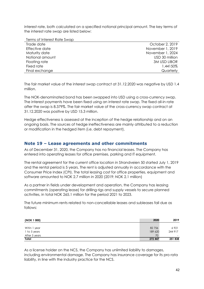interest rate, both calculated on a specified notional principal amount. The key terms of the interest rate swap are listed below:

| Terms of Interest Rate Swap |                     |
|-----------------------------|---------------------|
| Trade date                  | October 2, 2019     |
| Effective date              | November 1, 2019    |
| Maturity date               | November 1, 2024    |
| Notional amount             | USD 30 million      |
| Floating rate               | <b>3M USD LIBOR</b> |
| Fixed rate                  | 1.44150%            |
| Final exchange              | Quarterly           |

The fair market value of the interest swap contract at 31.12.2020 was negative by USD 1.4 million.

The NOK-denominated bond has been swapped into USD using a cross-currency swap. The interest payments have been fixed using an interest rate swap. The fixed all-in rate after the swap is 8.379%. The fair market value of the cross-currency swap contract at 31.12.2020 was positive by USD 15.3 million.

Hedge effectiveness is assessed at the inception of the hedge relationship and on an ongoing basis. The sources of hedge ineffectiveness are mainly attributed to a reduction or modification in the hedged item (i.e. debt repayment).

# **Note 19 – Lease agreements and other commitments**

As of December 31, 2020, the Company has no financial leases. The Company has entered into operating leases for office premises, parking and IT equipment.

The rental agreement for the current office location in Strandveien 50 started July 1, 2019 and the rental period is 5 years. The rent is adjusted annually in accordance with the Consumer Price Index (CPI). The total leasing cost for office properties, equipment and software amounted to NOK 2.7 million in 2020 (2019: NOK 2.1 million)

As a partner in fields under development and operation, the Company has leasing commitments (operating lease) for drilling rigs and supply vessels to secure planned activities, in total NOK 265.1 million for the period 2021 to 2023.

The future minimum rents related to non-cancellable leases and subleases fall due as follows:

| (NOK 1 000)   | 2020    | 2019                     |
|---------------|---------|--------------------------|
|               |         |                          |
| Witin 1 year  | 82756   | 6921                     |
| 1 to 5 years  | 189 620 | 244 917                  |
| After 5 years | 70      | $\overline{\phantom{0}}$ |
| Total         | 272 447 | 251838                   |

As a license holder on the NCS, the Company has unlimited liability to damages, including environmental damage. The Company has insurance coverage for its pro rata liability, in line with the industry practice for the NCS.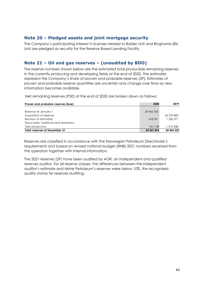## **Note 20 – Pledged assets and joint mortgage security**

The Company's participating interest in licenses related to Balder Unit and Ringhorne Øst Unit are pledged as security for the Reserve Based Lending Facility.

# **Note 21 – Oil and gas reserves – (unaudited by BDO)**

The reserve numbers shown below are the estimated total producible remaining reserves in the currently producing and developing fields at the end of 2020. The estimates represent the Company's share of proven and probable reserves (2P). Estimates of proven and probable reserve quantities are uncertain and change over time as new information becomes available.

Net remaining reserves (P50) at the end of 2020 are broken down as follows:

| Proven and probable reserves (boe)    | 2020       | 2019       |
|---------------------------------------|------------|------------|
|                                       |            |            |
| Balance at January 1                  | 24 465 333 |            |
| Acquisition of reserves               |            | 24 279 800 |
| Revision of estimates                 | 618 291    | 1 205 371  |
| Discoveries, additions and extensions |            |            |
| Year production                       | -761 748   | $-1019838$ |
| <b>Total reserves at December 31</b>  | 24 321 876 | 24 465 333 |

Reserves are classified in accordance with the Norwegian Petroleum Directorate's requirements and based on revised national budget (RNB) 2021 numbers received from the operators together with internal information.

The 2021-reserves (2P) have been audited by AGR, an independent and qualified reserves auditor. For all reserve classes, the differences between the independent auditor's estimate and Mime Petroleum's reserves were below 10%, the recognized quality stamp for reserves auditing.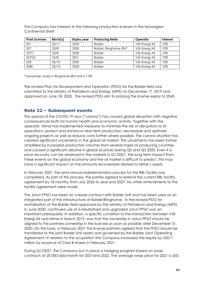The Company has interests in the following production licenses in the Norwegian Continental Shelf:

| <b>Prod Licenses</b> | Block(s) | <b>Expiry year</b> | <b>Producing fields</b> | Operator      | <b>Interest</b> |
|----------------------|----------|--------------------|-------------------------|---------------|-----------------|
| 001                  | 25/11    | 2030               | <b>Balder</b>           | Vår Energi AS | 10%             |
| 027                  | 25/8     | 2030               | Balder, Ringhorne Øst*  | Vår Energi AS | 10%             |
| 027C                 | 25/8     | 2030               | <b>Balder</b>           | Vår Energi AS | 10%             |
| 027GS                | 25/8     | 2021               | <b>Balder</b>           | Vår Energi AS | 10%             |
| 028                  | 25/10    | 2030               | <b>Balder</b>           | Vår Energi AS | 10%             |
| 028S                 | 25/10    | 2030               | <b>Balder</b>           | Vår Energi AS | 10%             |

\*Ownership share in Ringhorne Øst Unit is 7.4%

The revised Plan for Development and Operation (PDO) for the Balder field was submitted to the Ministry of Petroleum and Energy (MPE) on December 17, 2019 and approved on June 18, 2020. The revised PDO aim to prolong the license expiry to 2045.

# **Note 22 – Subsequent events**

The spread of the COVID-19 virus ("corona") has caused global disruption with negative consequences both for human health and economic activity. Together with the operator, Mime has implemented measures to minimize the risk of disruptions to its operations, protect and enhance near term production, reschedule and optimize ongoing projects as well as reduce costs further where possible. The corona situation has created significant uncertainty in the global oil market. This uncertainty has been further amplified by increased production volumes from several major oil producing countries and caused a significant decline in global oil prices during Q2 and Q3 2020. Even if a price recovery can be observed in the markets in Q1/2021, the long-term impact from these events on the global economy and the oil market is difficult to predict. This may have a significant impact on the amounts recoverable related to Mime's assets.

In February 2021, the semi-annual redetermination process for the RBL facility was completed. As part of this process, the parties agreed to extend the current RBL facility agreement by 18 months, from July 2026 to year end 2027. No other amendments to the facility agreement were made.

The Jotun FPSO has been on a lease contract with Balder Unit and has been used as an integrated part of the infrastructure at Balder/Ringhorne. In the revised PDO for revitalization of the Balder field approved by the Ministry of Petroleum and Energy (MPE) in June 2020, continued use of a refurbished and upgraded Jotun FPSO was an important prerequisite. In addition, a specific condition to the transaction between Vår Energi AS and Mime in March 2019, was that the ownership in Jotun FPSO should be aligned to the partners ownership in the licenses as soon as possible after December 31, 2020. On this basis, in February 2021 the license partners agreed that the FPSO should be transferred to the joint Balder Unit assets and governed by the Balder Joint Operating Agreement. In relation to the acquisition the Company increased the equity by USD 7 million by issuance of Class B shares in February 2021.

During Q1/2021, the Company put in place a hedging program based on swap contracts at 20 000 bbls/month for 2021and 2022. The average swap price for 2021 is USD